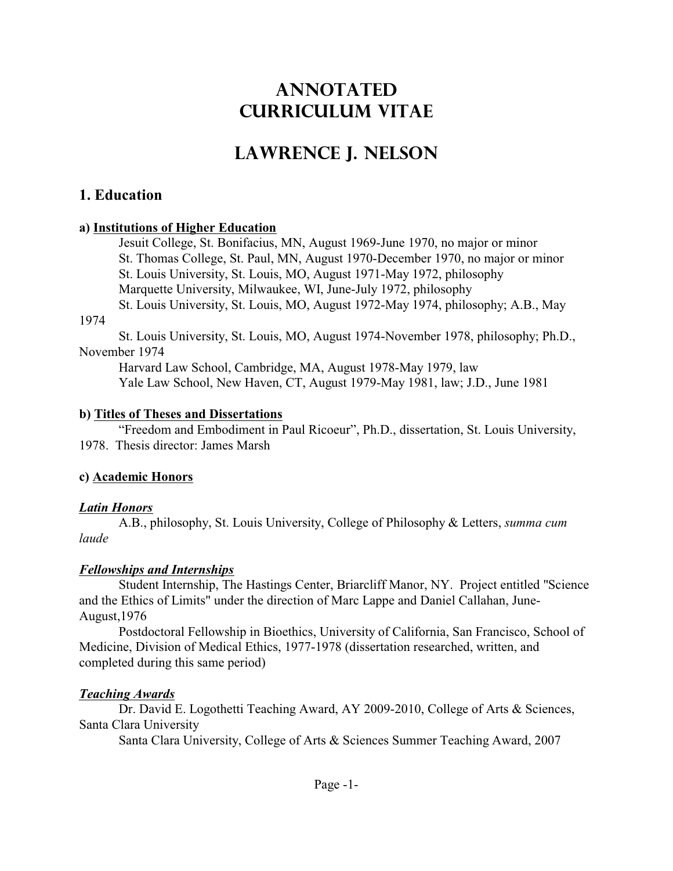# **ANNOTATED CURRICULUM VITAE**

# **LAWRENCE J. NELSON**

## **1. Education**

### **a) Institutions of Higher Education**

Jesuit College, St. Bonifacius, MN, August 1969-June 1970, no major or minor St. Thomas College, St. Paul, MN, August 1970-December 1970, no major or minor St. Louis University, St. Louis, MO, August 1971-May 1972, philosophy Marquette University, Milwaukee, WI, June-July 1972, philosophy St. Louis University, St. Louis, MO, August 1972-May 1974, philosophy; A.B., May

#### 1974

St. Louis University, St. Louis, MO, August 1974-November 1978, philosophy; Ph.D., November 1974

Harvard Law School, Cambridge, MA, August 1978-May 1979, law Yale Law School, New Haven, CT, August 1979-May 1981, law; J.D., June 1981

### **b) Titles of Theses and Dissertations**

"Freedom and Embodiment in Paul Ricoeur", Ph.D., dissertation, St. Louis University, 1978. Thesis director: James Marsh

### **c) Academic Honors**

### *Latin Honors*

A.B., philosophy, St. Louis University, College of Philosophy & Letters, *summa cum laude*

## *Fellowships and Internships*

Student Internship, The Hastings Center, Briarcliff Manor, NY. Project entitled "Science and the Ethics of Limits" under the direction of Marc Lappe and Daniel Callahan, June-August,1976

Postdoctoral Fellowship in Bioethics, University of California, San Francisco, School of Medicine, Division of Medical Ethics, 1977-1978 (dissertation researched, written, and completed during this same period)

### *Teaching Awards*

Dr. David E. Logothetti Teaching Award, AY 2009-2010, College of Arts & Sciences, Santa Clara University

Santa Clara University, College of Arts & Sciences Summer Teaching Award, 2007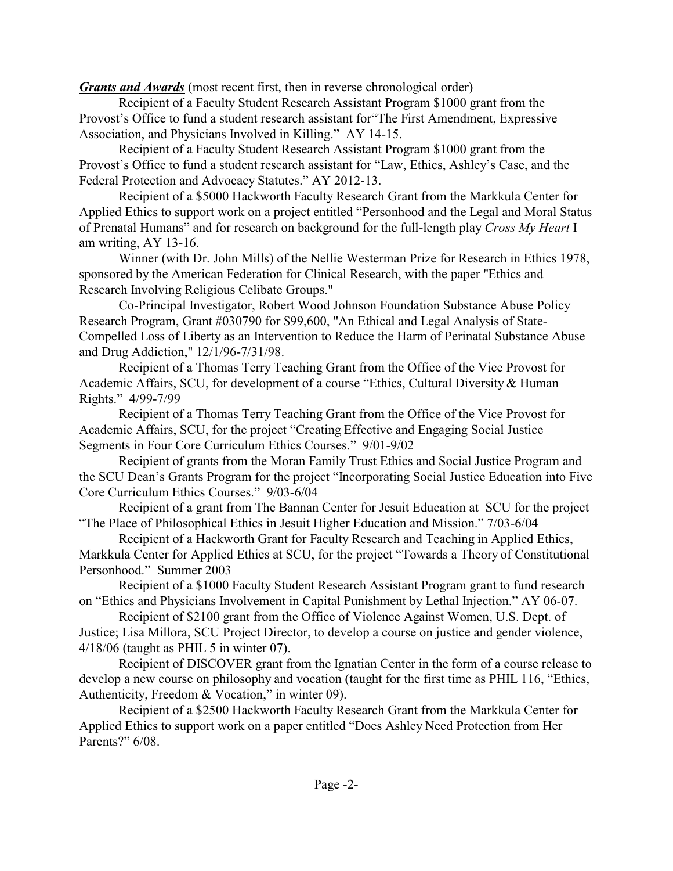*Grants and Awards* (most recent first, then in reverse chronological order)

Recipient of a Faculty Student Research Assistant Program \$1000 grant from the Provost's Office to fund a student research assistant for"The First Amendment, Expressive Association, and Physicians Involved in Killing." AY 14-15.

Recipient of a Faculty Student Research Assistant Program \$1000 grant from the Provost's Office to fund a student research assistant for "Law, Ethics, Ashley's Case, and the Federal Protection and Advocacy Statutes." AY 2012-13.

Recipient of a \$5000 Hackworth Faculty Research Grant from the Markkula Center for Applied Ethics to support work on a project entitled "Personhood and the Legal and Moral Status of Prenatal Humans" and for research on background for the full-length play *Cross My Heart* I am writing, AY 13-16.

Winner (with Dr. John Mills) of the Nellie Westerman Prize for Research in Ethics 1978, sponsored by the American Federation for Clinical Research, with the paper "Ethics and Research Involving Religious Celibate Groups."

Co-Principal Investigator, Robert Wood Johnson Foundation Substance Abuse Policy Research Program, Grant #030790 for \$99,600, "An Ethical and Legal Analysis of State-Compelled Loss of Liberty as an Intervention to Reduce the Harm of Perinatal Substance Abuse and Drug Addiction," 12/1/96-7/31/98.

Recipient of a Thomas Terry Teaching Grant from the Office of the Vice Provost for Academic Affairs, SCU, for development of a course "Ethics, Cultural Diversity & Human Rights." 4/99-7/99

Recipient of a Thomas Terry Teaching Grant from the Office of the Vice Provost for Academic Affairs, SCU, for the project "Creating Effective and Engaging Social Justice Segments in Four Core Curriculum Ethics Courses." 9/01-9/02

Recipient of grants from the Moran Family Trust Ethics and Social Justice Program and the SCU Dean's Grants Program for the project "Incorporating Social Justice Education into Five Core Curriculum Ethics Courses." 9/03-6/04

Recipient of a grant from The Bannan Center for Jesuit Education at SCU for the project "The Place of Philosophical Ethics in Jesuit Higher Education and Mission." 7/03-6/04

Recipient of a Hackworth Grant for Faculty Research and Teaching in Applied Ethics, Markkula Center for Applied Ethics at SCU, for the project "Towards a Theory of Constitutional Personhood." Summer 2003

Recipient of a \$1000 Faculty Student Research Assistant Program grant to fund research on "Ethics and Physicians Involvement in Capital Punishment by Lethal Injection." AY 06-07.

Recipient of \$2100 grant from the Office of Violence Against Women, U.S. Dept. of Justice; Lisa Millora, SCU Project Director, to develop a course on justice and gender violence, 4/18/06 (taught as PHIL 5 in winter 07).

Recipient of DISCOVER grant from the Ignatian Center in the form of a course release to develop a new course on philosophy and vocation (taught for the first time as PHIL 116, "Ethics, Authenticity, Freedom & Vocation," in winter 09).

Recipient of a \$2500 Hackworth Faculty Research Grant from the Markkula Center for Applied Ethics to support work on a paper entitled "Does Ashley Need Protection from Her Parents?" 6/08.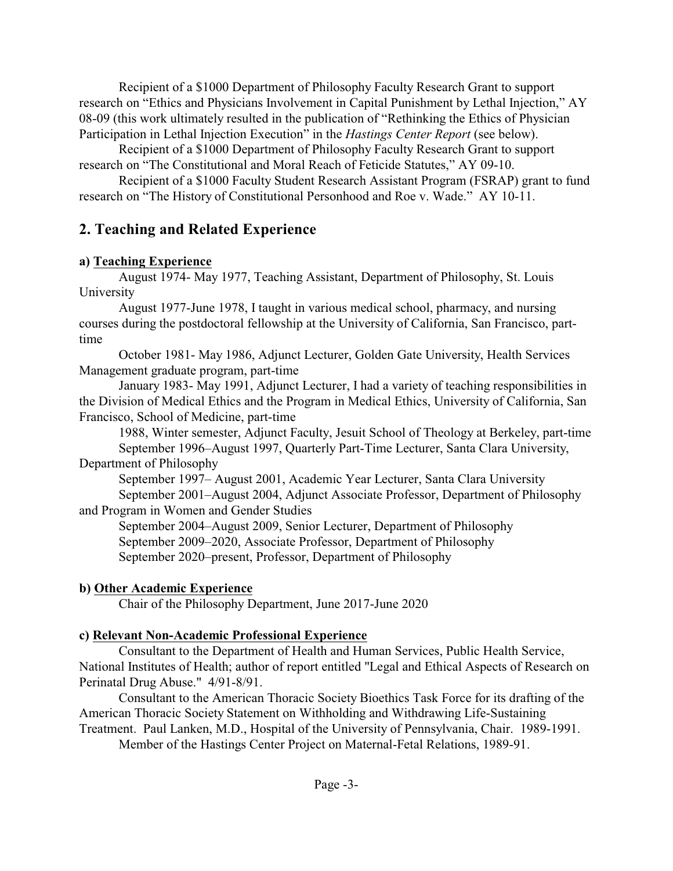Recipient of a \$1000 Department of Philosophy Faculty Research Grant to support research on "Ethics and Physicians Involvement in Capital Punishment by Lethal Injection," AY 08-09 (this work ultimately resulted in the publication of "Rethinking the Ethics of Physician Participation in Lethal Injection Execution" in the *Hastings Center Report* (see below).

Recipient of a \$1000 Department of Philosophy Faculty Research Grant to support research on "The Constitutional and Moral Reach of Feticide Statutes," AY 09-10.

Recipient of a \$1000 Faculty Student Research Assistant Program (FSRAP) grant to fund research on "The History of Constitutional Personhood and Roe v. Wade." AY 10-11.

# **2. Teaching and Related Experience**

### **a) Teaching Experience**

August 1974- May 1977, Teaching Assistant, Department of Philosophy, St. Louis University

August 1977-June 1978, I taught in various medical school, pharmacy, and nursing courses during the postdoctoral fellowship at the University of California, San Francisco, parttime

October 1981- May 1986, Adjunct Lecturer, Golden Gate University, Health Services Management graduate program, part-time

January 1983- May 1991, Adjunct Lecturer, I had a variety of teaching responsibilities in the Division of Medical Ethics and the Program in Medical Ethics, University of California, San Francisco, School of Medicine, part-time

1988, Winter semester, Adjunct Faculty, Jesuit School of Theology at Berkeley, part-time September 1996–August 1997, Quarterly Part-Time Lecturer, Santa Clara University,

## Department of Philosophy

September 1997– August 2001, Academic Year Lecturer, Santa Clara University September 2001–August 2004, Adjunct Associate Professor, Department of Philosophy and Program in Women and Gender Studies

September 2004–August 2009, Senior Lecturer, Department of Philosophy September 2009–2020, Associate Professor, Department of Philosophy September 2020–present, Professor, Department of Philosophy

## **b) Other Academic Experience**

Chair of the Philosophy Department, June 2017-June 2020

## **c) Relevant Non-Academic Professional Experience**

Consultant to the Department of Health and Human Services, Public Health Service, National Institutes of Health; author of report entitled "Legal and Ethical Aspects of Research on Perinatal Drug Abuse." 4/91-8/91.

Consultant to the American Thoracic Society Bioethics Task Force for its drafting of the American Thoracic Society Statement on Withholding and Withdrawing Life-Sustaining Treatment. Paul Lanken, M.D., Hospital of the University of Pennsylvania, Chair. 1989-1991.

Member of the Hastings Center Project on Maternal-Fetal Relations, 1989-91.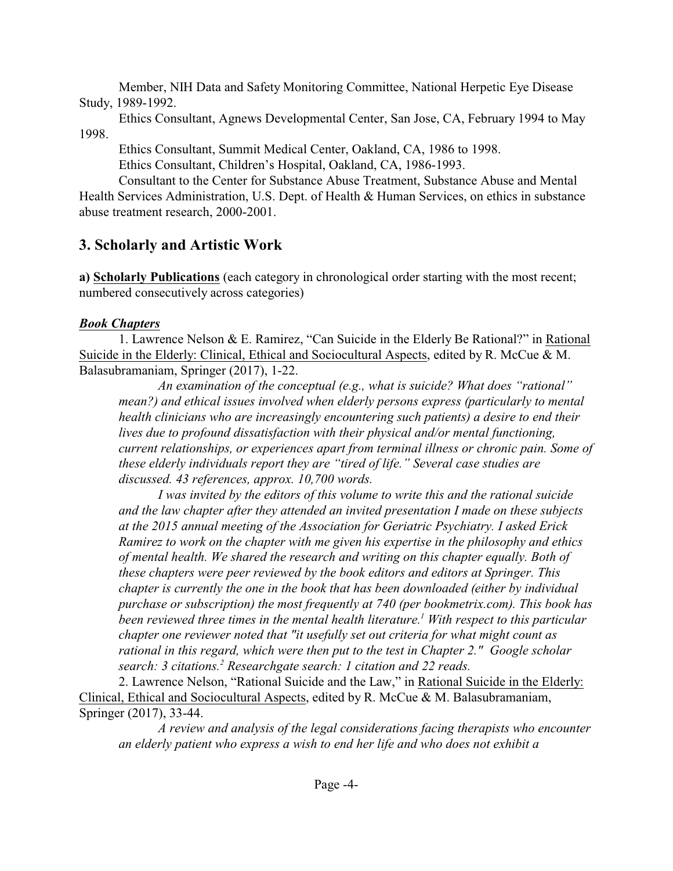Member, NIH Data and Safety Monitoring Committee, National Herpetic Eye Disease Study, 1989-1992.

Ethics Consultant, Agnews Developmental Center, San Jose, CA, February 1994 to May 1998.

Ethics Consultant, Summit Medical Center, Oakland, CA, 1986 to 1998.

Ethics Consultant, Children's Hospital, Oakland, CA, 1986-1993.

Consultant to the Center for Substance Abuse Treatment, Substance Abuse and Mental Health Services Administration, U.S. Dept. of Health & Human Services, on ethics in substance abuse treatment research, 2000-2001.

# **3. Scholarly and Artistic Work**

**a) Scholarly Publications** (each category in chronological order starting with the most recent; numbered consecutively across categories)

## *Book Chapters*

1. Lawrence Nelson & E. Ramirez, "Can Suicide in the Elderly Be Rational?" in Rational Suicide in the Elderly: Clinical, Ethical and Sociocultural Aspects, edited by R. McCue & M. Balasubramaniam, Springer (2017), 1-22.

*An examination of the conceptual (e.g., what is suicide? What does "rational" mean?) and ethical issues involved when elderly persons express (particularly to mental health clinicians who are increasingly encountering such patients) a desire to end their lives due to profound dissatisfaction with their physical and/or mental functioning, current relationships, or experiences apart from terminal illness or chronic pain. Some of these elderly individuals report they are "tired of life." Several case studies are discussed. 43 references, approx. 10,700 words.* 

*I was invited by the editors of this volume to write this and the rational suicide and the law chapter after they attended an invited presentation I made on these subjects at the 2015 annual meeting of the Association for Geriatric Psychiatry. I asked Erick Ramirez to work on the chapter with me given his expertise in the philosophy and ethics of mental health. We shared the research and writing on this chapter equally. Both of these chapters were peer reviewed by the book editors and editors at Springer. This chapter is currently the one in the book that has been downloaded (either by individual purchase or subscription) the most frequently at 740 (per bookmetrix.com). This book has been reviewed three times in the mental health literature.<sup>1</sup> With respect to this particular chapter one reviewer noted that "it usefully set out criteria for what might count as rational in this regard, which were then put to the test in Chapter 2." Google scholar search: 3 citations.<sup>2</sup> Researchgate search: 1 citation and 22 reads.*

2. Lawrence Nelson, "Rational Suicide and the Law," in Rational Suicide in the Elderly: Clinical, Ethical and Sociocultural Aspects, edited by R. McCue & M. Balasubramaniam, Springer (2017), 33-44.

*A review and analysis of the legal considerations facing therapists who encounter an elderly patient who express a wish to end her life and who does not exhibit a*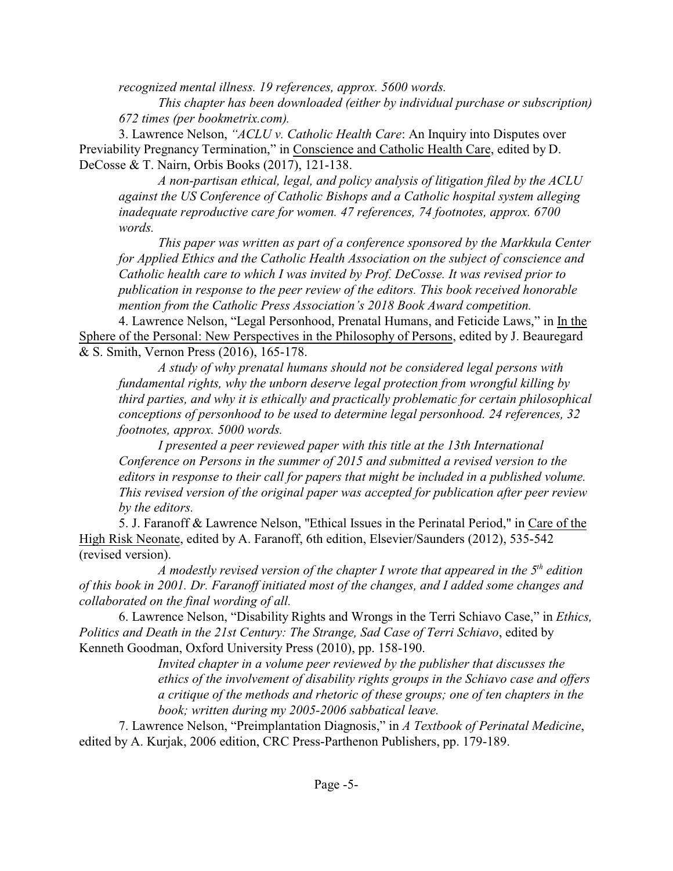*recognized mental illness. 19 references, approx. 5600 words.*

*This chapter has been downloaded (either by individual purchase or subscription) 672 times (per bookmetrix.com).* 

3. Lawrence Nelson, *"ACLU v. Catholic Health Care*: An Inquiry into Disputes over Previability Pregnancy Termination," in Conscience and Catholic Health Care, edited by D. DeCosse & T. Nairn, Orbis Books (2017), 121-138.

*A non-partisan ethical, legal, and policy analysis of litigation filed by the ACLU against the US Conference of Catholic Bishops and a Catholic hospital system alleging inadequate reproductive care for women. 47 references, 74 footnotes, approx. 6700 words.*

*This paper was written as part of a conference sponsored by the Markkula Center for Applied Ethics and the Catholic Health Association on the subject of conscience and Catholic health care to which I was invited by Prof. DeCosse. It was revised prior to publication in response to the peer review of the editors. This book received honorable mention from the Catholic Press Association's 2018 Book Award competition.*

4. Lawrence Nelson, "Legal Personhood, Prenatal Humans, and Feticide Laws," in In the Sphere of the Personal: New Perspectives in the Philosophy of Persons, edited by J. Beauregard & S. Smith, Vernon Press (2016), 165-178.

*A study of why prenatal humans should not be considered legal persons with fundamental rights, why the unborn deserve legal protection from wrongful killing by third parties, and why it is ethically and practically problematic for certain philosophical conceptions of personhood to be used to determine legal personhood. 24 references, 32 footnotes, approx. 5000 words.* 

*I presented a peer reviewed paper with this title at the 13th International Conference on Persons in the summer of 2015 and submitted a revised version to the editors in response to their call for papers that might be included in a published volume. This revised version of the original paper was accepted for publication after peer review by the editors.*

5. J. Faranoff & Lawrence Nelson, "Ethical Issues in the Perinatal Period," in Care of the High Risk Neonate, edited by A. Faranoff, 6th edition, Elsevier/Saunders (2012), 535-542 (revised version).

*A modestly revised version of the chapter I wrote that appeared in the 5th edition of this book in 2001. Dr. Faranoff initiated most of the changes, and I added some changes and collaborated on the final wording of all.*

6. Lawrence Nelson, "Disability Rights and Wrongs in the Terri Schiavo Case," in *Ethics, Politics and Death in the 21st Century: The Strange, Sad Case of Terri Schiavo*, edited by Kenneth Goodman, Oxford University Press (2010), pp. 158-190.

*Invited chapter in a volume peer reviewed by the publisher that discusses the ethics of the involvement of disability rights groups in the Schiavo case and offers a critique of the methods and rhetoric of these groups; one of ten chapters in the book; written during my 2005-2006 sabbatical leave.*

7. Lawrence Nelson, "Preimplantation Diagnosis," in *A Textbook of Perinatal Medicine*, edited by A. Kurjak, 2006 edition, CRC Press-Parthenon Publishers, pp. 179-189.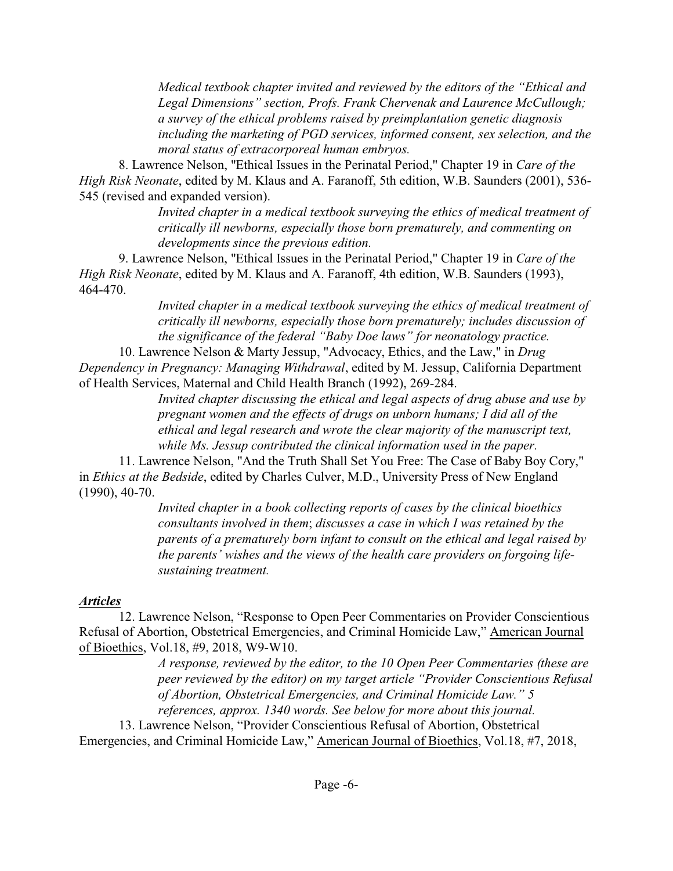*Medical textbook chapter invited and reviewed by the editors of the "Ethical and Legal Dimensions" section, Profs. Frank Chervenak and Laurence McCullough; a survey of the ethical problems raised by preimplantation genetic diagnosis including the marketing of PGD services, informed consent, sex selection, and the moral status of extracorporeal human embryos.*

8. Lawrence Nelson, "Ethical Issues in the Perinatal Period," Chapter 19 in *Care of the High Risk Neonate*, edited by M. Klaus and A. Faranoff, 5th edition, W.B. Saunders (2001), 536- 545 (revised and expanded version).

*Invited chapter in a medical textbook surveying the ethics of medical treatment of critically ill newborns, especially those born prematurely, and commenting on developments since the previous edition.*

9. Lawrence Nelson, "Ethical Issues in the Perinatal Period," Chapter 19 in *Care of the High Risk Neonate*, edited by M. Klaus and A. Faranoff, 4th edition, W.B. Saunders (1993), 464-470.

*Invited chapter in a medical textbook surveying the ethics of medical treatment of critically ill newborns, especially those born prematurely; includes discussion of the significance of the federal "Baby Doe laws" for neonatology practice.*

10. Lawrence Nelson & Marty Jessup, "Advocacy, Ethics, and the Law," in *Drug Dependency in Pregnancy: Managing Withdrawal*, edited by M. Jessup, California Department of Health Services, Maternal and Child Health Branch (1992), 269-284.

> *Invited chapter discussing the ethical and legal aspects of drug abuse and use by pregnant women and the effects of drugs on unborn humans; I did all of the ethical and legal research and wrote the clear majority of the manuscript text, while Ms. Jessup contributed the clinical information used in the paper.*

11. Lawrence Nelson, "And the Truth Shall Set You Free: The Case of Baby Boy Cory," in *Ethics at the Bedside*, edited by Charles Culver, M.D., University Press of New England (1990), 40-70.

> *Invited chapter in a book collecting reports of cases by the clinical bioethics consultants involved in them*; *discusses a case in which I was retained by the parents of a prematurely born infant to consult on the ethical and legal raised by the parents' wishes and the views of the health care providers on forgoing lifesustaining treatment.*

### *Articles*

12. Lawrence Nelson, "Response to Open Peer Commentaries on Provider Conscientious Refusal of Abortion, Obstetrical Emergencies, and Criminal Homicide Law," American Journal of Bioethics, Vol.18, #9, 2018, W9-W10.

*A response, reviewed by the editor, to the 10 Open Peer Commentaries (these are peer reviewed by the editor) on my target article "Provider Conscientious Refusal of Abortion, Obstetrical Emergencies, and Criminal Homicide Law." 5 references, approx. 1340 words. See below for more about this journal.* 

13. Lawrence Nelson, "Provider Conscientious Refusal of Abortion, Obstetrical Emergencies, and Criminal Homicide Law," American Journal of Bioethics, Vol.18, #7, 2018,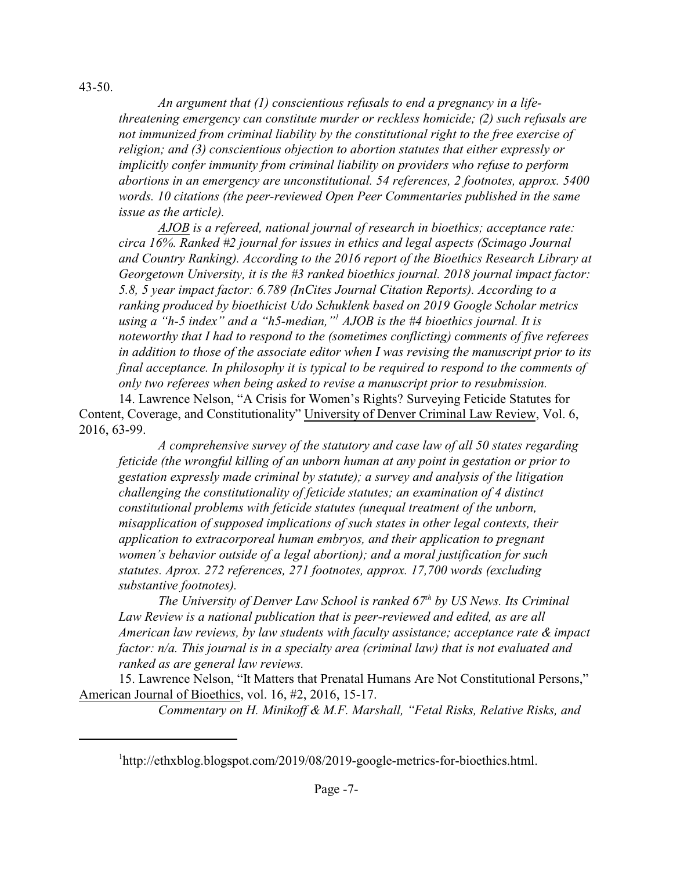43-50.

*An argument that (1) conscientious refusals to end a pregnancy in a lifethreatening emergency can constitute murder or reckless homicide; (2) such refusals are not immunized from criminal liability by the constitutional right to the free exercise of religion; and (3) conscientious objection to abortion statutes that either expressly or implicitly confer immunity from criminal liability on providers who refuse to perform abortions in an emergency are unconstitutional. 54 references, 2 footnotes, approx. 5400 words. 10 citations (the peer-reviewed Open Peer Commentaries published in the same issue as the article).*

*AJOB is a refereed, national journal of research in bioethics; acceptance rate: circa 16%. Ranked #2 journal for issues in ethics and legal aspects (Scimago Journal and Country Ranking). According to the 2016 report of the Bioethics Research Library at Georgetown University, it is the #3 ranked bioethics journal. 2018 journal impact factor: 5.8, 5 year impact factor: 6.789 (InCites Journal Citation Reports). According to a ranking produced by bioethicist Udo Schuklenk based on 2019 Google Scholar metrics using a "h-5 index" and a "h5-median,"<sup>1</sup> AJOB is the #4 bioethics journal. It is noteworthy that I had to respond to the (sometimes conflicting) comments of five referees in addition to those of the associate editor when I was revising the manuscript prior to its final acceptance. In philosophy it is typical to be required to respond to the comments of only two referees when being asked to revise a manuscript prior to resubmission.* 

14. Lawrence Nelson, "A Crisis for Women's Rights? Surveying Feticide Statutes for Content, Coverage, and Constitutionality" University of Denver Criminal Law Review, Vol. 6, 2016, 63-99.

*A comprehensive survey of the statutory and case law of all 50 states regarding feticide (the wrongful killing of an unborn human at any point in gestation or prior to gestation expressly made criminal by statute); a survey and analysis of the litigation challenging the constitutionality of feticide statutes; an examination of 4 distinct constitutional problems with feticide statutes (unequal treatment of the unborn, misapplication of supposed implications of such states in other legal contexts, their application to extracorporeal human embryos, and their application to pregnant women's behavior outside of a legal abortion); and a moral justification for such statutes. Aprox. 272 references, 271 footnotes, approx. 17,700 words (excluding substantive footnotes).*

*The University of Denver Law School is ranked 67th by US News. Its Criminal Law Review is a national publication that is peer-reviewed and edited, as are all American law reviews, by law students with faculty assistance; acceptance rate & impact factor: n/a. This journal is in a specialty area (criminal law) that is not evaluated and ranked as are general law reviews.*

15. Lawrence Nelson, "It Matters that Prenatal Humans Are Not Constitutional Persons," American Journal of Bioethics, vol. 16, #2, 2016, 15-17.

*Commentary on H. Minikoff & M.F. Marshall, "Fetal Risks, Relative Risks, and*

<sup>1</sup> http://ethxblog.blogspot.com/2019/08/2019-google-metrics-for-bioethics.html.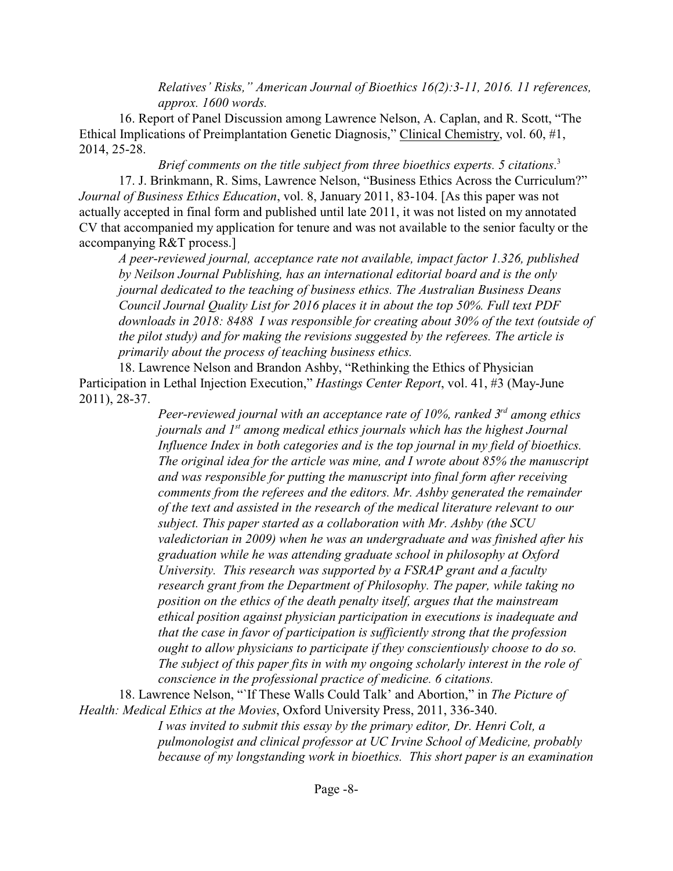*Relatives' Risks," American Journal of Bioethics 16(2):3-11, 2016. 11 references, approx. 1600 words.*

16. Report of Panel Discussion among Lawrence Nelson, A. Caplan, and R. Scott, "The Ethical Implications of Preimplantation Genetic Diagnosis," Clinical Chemistry, vol. 60, #1, 2014, 25-28.

*Brief comments on the title subject from three bioethics experts. 5 citations*. 3 17. J. Brinkmann, R. Sims, Lawrence Nelson, "Business Ethics Across the Curriculum?" *Journal of Business Ethics Education*, vol. 8, January 2011, 83-104. [As this paper was not actually accepted in final form and published until late 2011, it was not listed on my annotated CV that accompanied my application for tenure and was not available to the senior faculty or the accompanying R&T process.]

*A peer-reviewed journal, acceptance rate not available, impact factor 1.326, published by Neilson Journal Publishing, has an international editorial board and is the only journal dedicated to the teaching of business ethics. The Australian Business Deans Council Journal Quality List for 2016 places it in about the top 50%. Full text PDF downloads in 2018: 8488 I was responsible for creating about 30% of the text (outside of the pilot study) and for making the revisions suggested by the referees. The article is primarily about the process of teaching business ethics.*

18. Lawrence Nelson and Brandon Ashby, "Rethinking the Ethics of Physician Participation in Lethal Injection Execution," *Hastings Center Report*, vol. 41, #3 (May-June 2011), 28-37.

> *Peer-reviewed journal with an acceptance rate of 10%, ranked 3rd among ethics journals and 1st among medical ethics journals which has the highest Journal Influence Index in both categories and is the top journal in my field of bioethics. The original idea for the article was mine, and I wrote about 85% the manuscript and was responsible for putting the manuscript into final form after receiving comments from the referees and the editors. Mr. Ashby generated the remainder of the text and assisted in the research of the medical literature relevant to our subject. This paper started as a collaboration with Mr. Ashby (the SCU valedictorian in 2009) when he was an undergraduate and was finished after his graduation while he was attending graduate school in philosophy at Oxford University. This research was supported by a FSRAP grant and a faculty research grant from the Department of Philosophy. The paper, while taking no position on the ethics of the death penalty itself, argues that the mainstream ethical position against physician participation in executions is inadequate and that the case in favor of participation is sufficiently strong that the profession ought to allow physicians to participate if they conscientiously choose to do so. The subject of this paper fits in with my ongoing scholarly interest in the role of conscience in the professional practice of medicine. 6 citations.*

18. Lawrence Nelson, "`If These Walls Could Talk' and Abortion," in *The Picture of Health: Medical Ethics at the Movies*, Oxford University Press, 2011, 336-340.

> *I was invited to submit this essay by the primary editor, Dr. Henri Colt, a pulmonologist and clinical professor at UC Irvine School of Medicine, probably because of my longstanding work in bioethics. This short paper is an examination*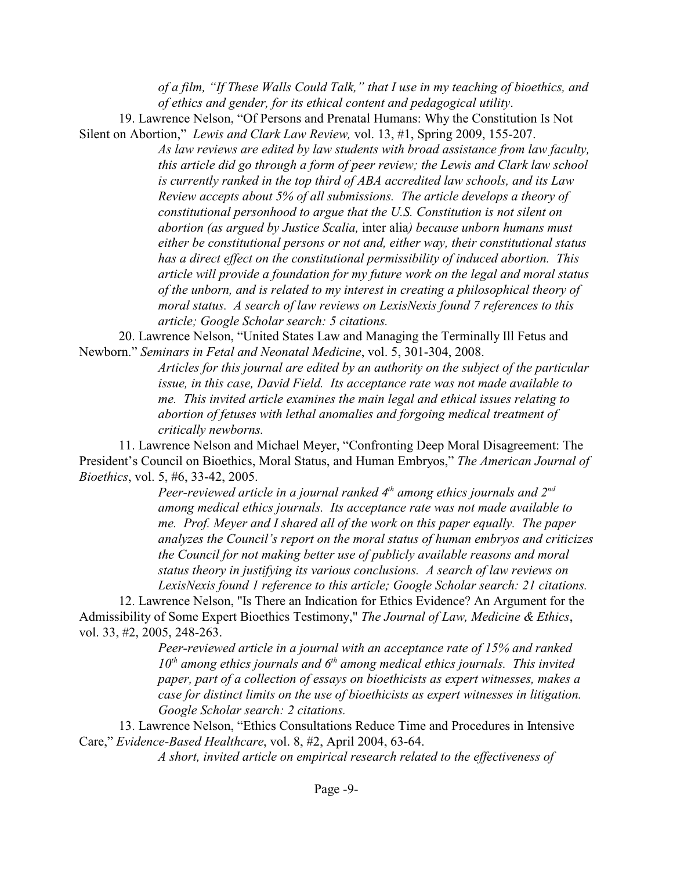*of a film, "If These Walls Could Talk," that I use in my teaching of bioethics, and of ethics and gender, for its ethical content and pedagogical utility*.

19. Lawrence Nelson, "Of Persons and Prenatal Humans: Why the Constitution Is Not Silent on Abortion," *Lewis and Clark Law Review,* vol. 13, #1, Spring 2009, 155-207.

> *As law reviews are edited by law students with broad assistance from law faculty, this article did go through a form of peer review; the Lewis and Clark law school is currently ranked in the top third of ABA accredited law schools, and its Law Review accepts about 5% of all submissions. The article develops a theory of constitutional personhood to argue that the U.S. Constitution is not silent on abortion (as argued by Justice Scalia,* inter alia*) because unborn humans must either be constitutional persons or not and, either way, their constitutional status has a direct effect on the constitutional permissibility of induced abortion. This article will provide a foundation for my future work on the legal and moral status of the unborn, and is related to my interest in creating a philosophical theory of moral status. A search of law reviews on LexisNexis found 7 references to this article; Google Scholar search: 5 citations.*

20. Lawrence Nelson, "United States Law and Managing the Terminally Ill Fetus and Newborn." *Seminars in Fetal and Neonatal Medicine*, vol. 5, 301-304, 2008.

> *Articles for this journal are edited by an authority on the subject of the particular issue, in this case, David Field. Its acceptance rate was not made available to me. This invited article examines the main legal and ethical issues relating to abortion of fetuses with lethal anomalies and forgoing medical treatment of critically newborns.*

11. Lawrence Nelson and Michael Meyer, "Confronting Deep Moral Disagreement: The President's Council on Bioethics, Moral Status, and Human Embryos," *The American Journal of Bioethics*, vol. 5, #6, 33-42, 2005.

> *Peer-reviewed article in a journal ranked 4th among ethics journals and 2nd among medical ethics journals. Its acceptance rate was not made available to me. Prof. Meyer and I shared all of the work on this paper equally. The paper analyzes the Council's report on the moral status of human embryos and criticizes the Council for not making better use of publicly available reasons and moral status theory in justifying its various conclusions. A search of law reviews on LexisNexis found 1 reference to this article; Google Scholar search: 21 citations.*

12. Lawrence Nelson, "Is There an Indication for Ethics Evidence? An Argument for the Admissibility of Some Expert Bioethics Testimony," *The Journal of Law, Medicine & Ethics*, vol. 33, #2, 2005, 248-263.

> *Peer-reviewed article in a journal with an acceptance rate of 15% and ranked* 10<sup>th</sup> among ethics journals and 6<sup>th</sup> among medical ethics journals. This invited *paper, part of a collection of essays on bioethicists as expert witnesses, makes a case for distinct limits on the use of bioethicists as expert witnesses in litigation. Google Scholar search: 2 citations.*

13. Lawrence Nelson, "Ethics Consultations Reduce Time and Procedures in Intensive Care," *Evidence-Based Healthcare*, vol. 8, #2, April 2004, 63-64.

*A short, invited article on empirical research related to the effectiveness of*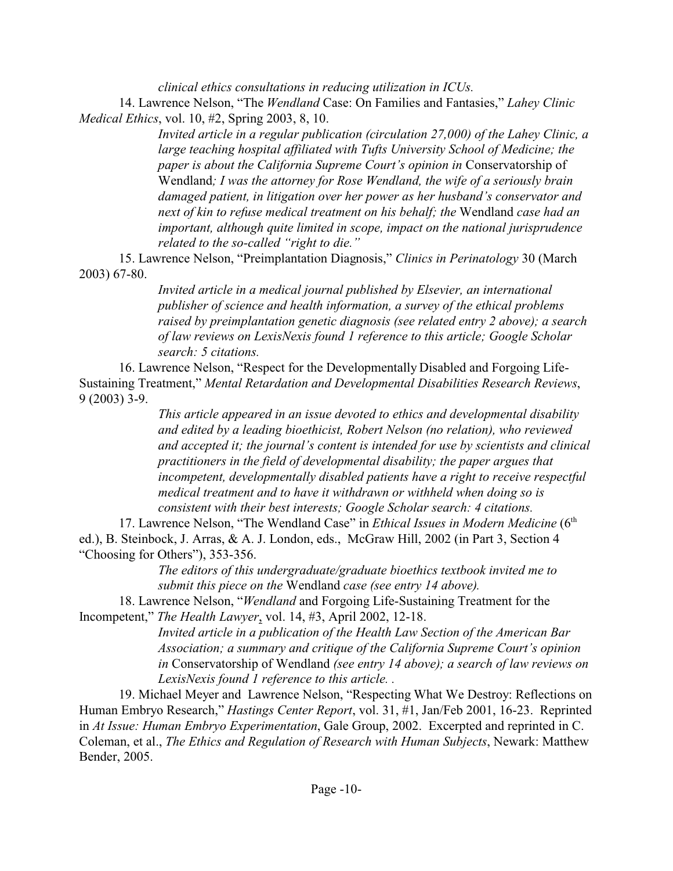*clinical ethics consultations in reducing utilization in ICUs.* 

14. Lawrence Nelson, "The *Wendland* Case: On Families and Fantasies," *Lahey Clinic Medical Ethics*, vol. 10, #2, Spring 2003, 8, 10.

> *Invited article in a regular publication (circulation 27,000) of the Lahey Clinic, a large teaching hospital affiliated with Tufts University School of Medicine; the paper is about the California Supreme Court's opinion in* Conservatorship of Wendland*; I was the attorney for Rose Wendland, the wife of a seriously brain damaged patient, in litigation over her power as her husband's conservator and next of kin to refuse medical treatment on his behalf; the* Wendland *case had an important, although quite limited in scope, impact on the national jurisprudence related to the so-called "right to die."*

15. Lawrence Nelson, "Preimplantation Diagnosis," *Clinics in Perinatology* 30 (March 2003) 67-80.

> *Invited article in a medical journal published by Elsevier, an international publisher of science and health information, a survey of the ethical problems raised by preimplantation genetic diagnosis (see related entry 2 above); a search of law reviews on LexisNexis found 1 reference to this article; Google Scholar search: 5 citations.*

16. Lawrence Nelson, "Respect for the Developmentally Disabled and Forgoing Life-Sustaining Treatment," *Mental Retardation and Developmental Disabilities Research Reviews*, 9 (2003) 3-9.

> *This article appeared in an issue devoted to ethics and developmental disability and edited by a leading bioethicist, Robert Nelson (no relation), who reviewed and accepted it; the journal's content is intended for use by scientists and clinical practitioners in the field of developmental disability; the paper argues that incompetent, developmentally disabled patients have a right to receive respectful medical treatment and to have it withdrawn or withheld when doing so is consistent with their best interests; Google Scholar search: 4 citations.*

17. Lawrence Nelson, "The Wendland Case" in *Ethical Issues in Modern Medicine* (6<sup>th</sup> ed.), B. Steinbock, J. Arras, & A. J. London, eds., McGraw Hill, 2002 (in Part 3, Section 4 "Choosing for Others"), 353-356.

> *The editors of this undergraduate/graduate bioethics textbook invited me to submit this piece on the* Wendland *case (see entry 14 above).*

18. Lawrence Nelson, "*Wendland* and Forgoing Life-Sustaining Treatment for the Incompetent," *The Health Lawyer*, vol. 14, #3, April 2002, 12-18.

*Invited article in a publication of the Health Law Section of the American Bar Association; a summary and critique of the California Supreme Court's opinion in* Conservatorship of Wendland *(see entry 14 above); a search of law reviews on LexisNexis found 1 reference to this article. .*

19. Michael Meyer and Lawrence Nelson, "Respecting What We Destroy: Reflections on Human Embryo Research," *Hastings Center Report*, vol. 31, #1, Jan/Feb 2001, 16-23. Reprinted in *At Issue: Human Embryo Experimentation*, Gale Group, 2002. Excerpted and reprinted in C. Coleman, et al., *The Ethics and Regulation of Research with Human Subjects*, Newark: Matthew Bender, 2005.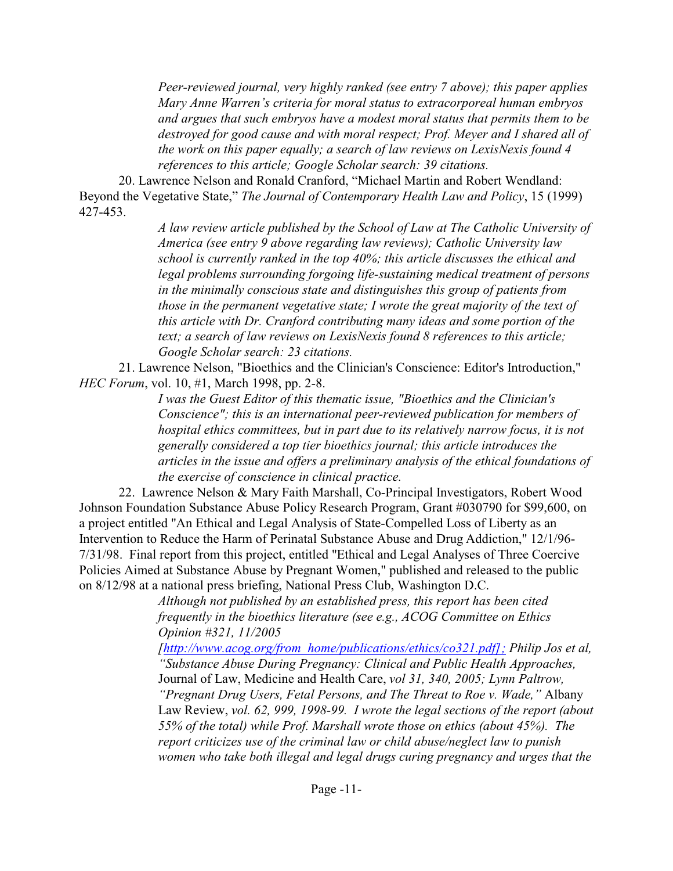*Peer-reviewed journal, very highly ranked (see entry 7 above); this paper applies Mary Anne Warren's criteria for moral status to extracorporeal human embryos and argues that such embryos have a modest moral status that permits them to be destroyed for good cause and with moral respect; Prof. Meyer and I shared all of the work on this paper equally; a search of law reviews on LexisNexis found 4 references to this article; Google Scholar search: 39 citations.* 

20. Lawrence Nelson and Ronald Cranford, "Michael Martin and Robert Wendland: Beyond the Vegetative State," *The Journal of Contemporary Health Law and Policy*, 15 (1999) 427-453.

> *A law review article published by the School of Law at The Catholic University of America (see entry 9 above regarding law reviews); Catholic University law school is currently ranked in the top 40%; this article discusses the ethical and legal problems surrounding forgoing life-sustaining medical treatment of persons in the minimally conscious state and distinguishes this group of patients from those in the permanent vegetative state; I wrote the great majority of the text of this article with Dr. Cranford contributing many ideas and some portion of the text; a search of law reviews on LexisNexis found 8 references to this article; Google Scholar search: 23 citations.*

21. Lawrence Nelson, "Bioethics and the Clinician's Conscience: Editor's Introduction," *HEC Forum*, vol. 10, #1, March 1998, pp. 2-8.

*I was the Guest Editor of this thematic issue, "Bioethics and the Clinician's Conscience"; this is an international peer-reviewed publication for members of hospital ethics committees, but in part due to its relatively narrow focus, it is not generally considered a top tier bioethics journal; this article introduces the articles in the issue and offers a preliminary analysis of the ethical foundations of the exercise of conscience in clinical practice.* 

22. Lawrence Nelson & Mary Faith Marshall, Co-Principal Investigators, Robert Wood Johnson Foundation Substance Abuse Policy Research Program, Grant #030790 for \$99,600, on a project entitled "An Ethical and Legal Analysis of State-Compelled Loss of Liberty as an Intervention to Reduce the Harm of Perinatal Substance Abuse and Drug Addiction," 12/1/96- 7/31/98. Final report from this project, entitled "Ethical and Legal Analyses of Three Coercive Policies Aimed at Substance Abuse by Pregnant Women," published and released to the public on 8/12/98 at a national press briefing, National Press Club, Washington D.C.

*Although not published by an established press, this report has been cited frequently in the bioethics literature (see e.g., ACOG Committee on Ethics Opinion #321, 11/2005*

*[\[http://www.acog.org/from\\_home/publications/ethics/co321.pdf\];]([http://www.acog.org/from_home/publications/ethics/co321.pdf];) Philip Jos et al, "Substance Abuse During Pregnancy: Clinical and Public Health Approaches,* Journal of Law, Medicine and Health Care, *vol 31, 340, 2005; Lynn Paltrow, "Pregnant Drug Users, Fetal Persons, and The Threat to Roe v. Wade,"* Albany Law Review, *vol. 62, 999, 1998-99. I wrote the legal sections of the report (about 55% of the total) while Prof. Marshall wrote those on ethics (about 45%). The report criticizes use of the criminal law or child abuse/neglect law to punish women who take both illegal and legal drugs curing pregnancy and urges that the*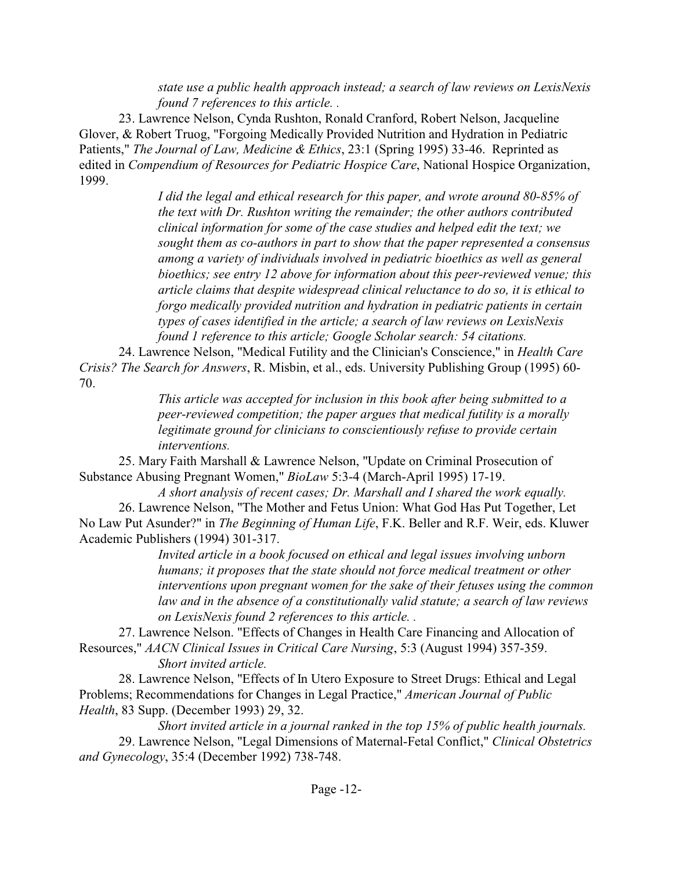*state use a public health approach instead; a search of law reviews on LexisNexis found 7 references to this article. .* 

23. Lawrence Nelson, Cynda Rushton, Ronald Cranford, Robert Nelson, Jacqueline Glover, & Robert Truog, "Forgoing Medically Provided Nutrition and Hydration in Pediatric Patients," *The Journal of Law, Medicine & Ethics*, 23:1 (Spring 1995) 33-46. Reprinted as edited in *Compendium of Resources for Pediatric Hospice Care*, National Hospice Organization, 1999.

> *I did the legal and ethical research for this paper, and wrote around 80-85% of the text with Dr. Rushton writing the remainder; the other authors contributed clinical information for some of the case studies and helped edit the text; we sought them as co-authors in part to show that the paper represented a consensus among a variety of individuals involved in pediatric bioethics as well as general bioethics; see entry 12 above for information about this peer-reviewed venue; this article claims that despite widespread clinical reluctance to do so, it is ethical to forgo medically provided nutrition and hydration in pediatric patients in certain types of cases identified in the article; a search of law reviews on LexisNexis found 1 reference to this article; Google Scholar search: 54 citations.*

24. Lawrence Nelson, "Medical Futility and the Clinician's Conscience," in *Health Care Crisis? The Search for Answers*, R. Misbin, et al., eds. University Publishing Group (1995) 60- 70.

*This article was accepted for inclusion in this book after being submitted to a peer-reviewed competition; the paper argues that medical futility is a morally legitimate ground for clinicians to conscientiously refuse to provide certain interventions.* 

25. Mary Faith Marshall & Lawrence Nelson, "Update on Criminal Prosecution of Substance Abusing Pregnant Women," *BioLaw* 5:3-4 (March-April 1995) 17-19.

*A short analysis of recent cases; Dr. Marshall and I shared the work equally.* 26. Lawrence Nelson, "The Mother and Fetus Union: What God Has Put Together, Let No Law Put Asunder?" in *The Beginning of Human Life*, F.K. Beller and R.F. Weir, eds. Kluwer Academic Publishers (1994) 301-317.

*Invited article in a book focused on ethical and legal issues involving unborn humans; it proposes that the state should not force medical treatment or other interventions upon pregnant women for the sake of their fetuses using the common law and in the absence of a constitutionally valid statute; a search of law reviews on LexisNexis found 2 references to this article. .*

27. Lawrence Nelson. "Effects of Changes in Health Care Financing and Allocation of Resources," *AACN Clinical Issues in Critical Care Nursing*, 5:3 (August 1994) 357-359.

*Short invited article.*

28. Lawrence Nelson, "Effects of In Utero Exposure to Street Drugs: Ethical and Legal Problems; Recommendations for Changes in Legal Practice," *American Journal of Public Health*, 83 Supp. (December 1993) 29, 32.

*Short invited article in a journal ranked in the top 15% of public health journals.* 29. Lawrence Nelson, "Legal Dimensions of Maternal-Fetal Conflict," *Clinical Obstetrics and Gynecology*, 35:4 (December 1992) 738-748.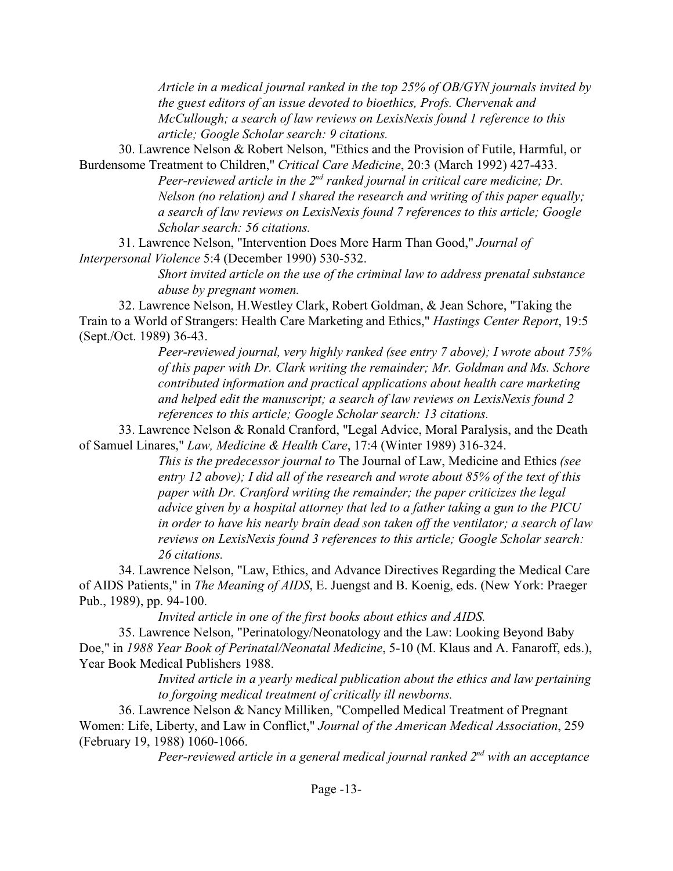*Article in a medical journal ranked in the top 25% of OB/GYN journals invited by the guest editors of an issue devoted to bioethics, Profs. Chervenak and McCullough; a search of law reviews on LexisNexis found 1 reference to this article; Google Scholar search: 9 citations.* 

30. Lawrence Nelson & Robert Nelson, "Ethics and the Provision of Futile, Harmful, or Burdensome Treatment to Children," *Critical Care Medicine*, 20:3 (March 1992) 427-433.

Peer-reviewed article in the 2<sup>nd</sup> ranked journal in critical care medicine; Dr. *Nelson (no relation) and I shared the research and writing of this paper equally; a search of law reviews on LexisNexis found 7 references to this article; Google Scholar search: 56 citations.* 

31. Lawrence Nelson, "Intervention Does More Harm Than Good," *Journal of Interpersonal Violence* 5:4 (December 1990) 530-532.

> *Short invited article on the use of the criminal law to address prenatal substance abuse by pregnant women.*

32. Lawrence Nelson, H.Westley Clark, Robert Goldman, & Jean Schore, "Taking the Train to a World of Strangers: Health Care Marketing and Ethics," *Hastings Center Report*, 19:5 (Sept./Oct. 1989) 36-43.

> *Peer-reviewed journal, very highly ranked (see entry 7 above); I wrote about 75% of this paper with Dr. Clark writing the remainder; Mr. Goldman and Ms. Schore contributed information and practical applications about health care marketing and helped edit the manuscript; a search of law reviews on LexisNexis found 2 references to this article; Google Scholar search: 13 citations.*

33. Lawrence Nelson & Ronald Cranford, "Legal Advice, Moral Paralysis, and the Death of Samuel Linares," *Law, Medicine & Health Care*, 17:4 (Winter 1989) 316-324.

> *This is the predecessor journal to* The Journal of Law, Medicine and Ethics *(see entry 12 above); I did all of the research and wrote about 85% of the text of this paper with Dr. Cranford writing the remainder; the paper criticizes the legal advice given by a hospital attorney that led to a father taking a gun to the PICU in order to have his nearly brain dead son taken off the ventilator; a search of law reviews on LexisNexis found 3 references to this article; Google Scholar search: 26 citations.*

34. Lawrence Nelson, "Law, Ethics, and Advance Directives Regarding the Medical Care of AIDS Patients," in *The Meaning of AIDS*, E. Juengst and B. Koenig, eds. (New York: Praeger Pub., 1989), pp. 94-100.

*Invited article in one of the first books about ethics and AIDS.*

35. Lawrence Nelson, "Perinatology/Neonatology and the Law: Looking Beyond Baby Doe," in *1988 Year Book of Perinatal/Neonatal Medicine*, 5-10 (M. Klaus and A. Fanaroff, eds.), Year Book Medical Publishers 1988.

*Invited article in a yearly medical publication about the ethics and law pertaining to forgoing medical treatment of critically ill newborns.*

36. Lawrence Nelson & Nancy Milliken, "Compelled Medical Treatment of Pregnant Women: Life, Liberty, and Law in Conflict," *Journal of the American Medical Association*, 259 (February 19, 1988) 1060-1066.

*Peer-reviewed article in a general medical journal ranked 2nd with an acceptance*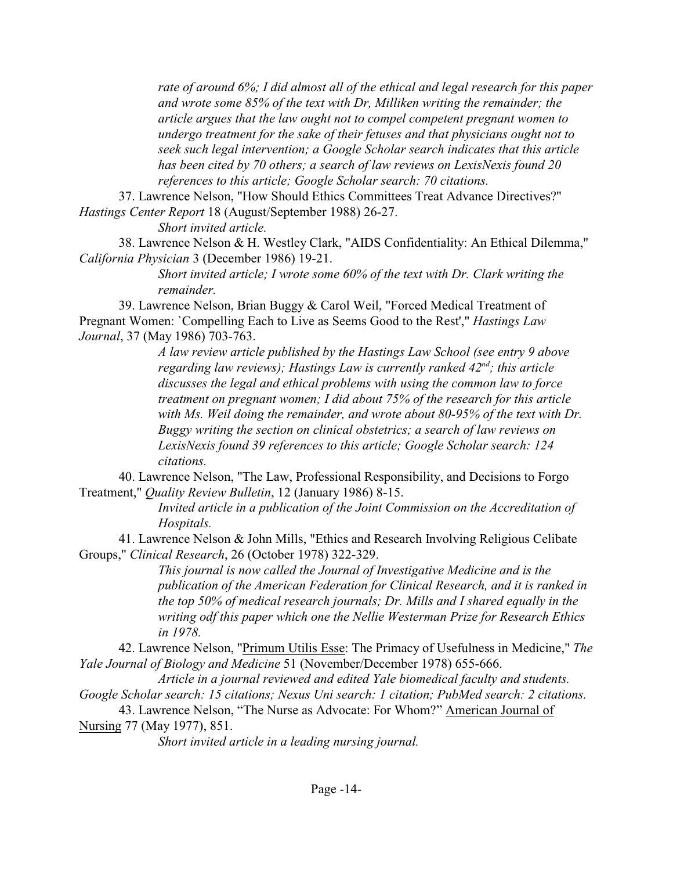*rate of around 6%; I did almost all of the ethical and legal research for this paper and wrote some 85% of the text with Dr, Milliken writing the remainder; the article argues that the law ought not to compel competent pregnant women to undergo treatment for the sake of their fetuses and that physicians ought not to seek such legal intervention; a Google Scholar search indicates that this article has been cited by 70 others; a search of law reviews on LexisNexis found 20 references to this article; Google Scholar search: 70 citations.* 

37. Lawrence Nelson, "How Should Ethics Committees Treat Advance Directives?" *Hastings Center Report* 18 (August/September 1988) 26-27.

*Short invited article.*

38. Lawrence Nelson & H. Westley Clark, "AIDS Confidentiality: An Ethical Dilemma," *California Physician* 3 (December 1986) 19-21.

*Short invited article; I wrote some 60% of the text with Dr. Clark writing the remainder.*

39. Lawrence Nelson, Brian Buggy & Carol Weil, "Forced Medical Treatment of Pregnant Women: `Compelling Each to Live as Seems Good to the Rest'," *Hastings Law Journal*, 37 (May 1986) 703-763.

> *A law review article published by the Hastings Law School (see entry 9 above regarding law reviews); Hastings Law is currently ranked 42nd ; this article discusses the legal and ethical problems with using the common law to force treatment on pregnant women; I did about 75% of the research for this article with Ms. Weil doing the remainder, and wrote about 80-95% of the text with Dr. Buggy writing the section on clinical obstetrics; a search of law reviews on LexisNexis found 39 references to this article; Google Scholar search: 124 citations.*

40. Lawrence Nelson, "The Law, Professional Responsibility, and Decisions to Forgo Treatment," *Quality Review Bulletin*, 12 (January 1986) 8-15.

*Invited article in a publication of the Joint Commission on the Accreditation of Hospitals.*

41. Lawrence Nelson & John Mills, "Ethics and Research Involving Religious Celibate Groups," *Clinical Research*, 26 (October 1978) 322-329.

> *This journal is now called the Journal of Investigative Medicine and is the publication of the American Federation for Clinical Research, and it is ranked in the top 50% of medical research journals; Dr. Mills and I shared equally in the writing odf this paper which one the Nellie Westerman Prize for Research Ethics in 1978.*

42. Lawrence Nelson, "Primum Utilis Esse: The Primacy of Usefulness in Medicine," *The Yale Journal of Biology and Medicine* 51 (November/December 1978) 655-666.

*Article in a journal reviewed and edited Yale biomedical faculty and students.*

*Google Scholar search: 15 citations; Nexus Uni search: 1 citation; PubMed search: 2 citations.* 43. Lawrence Nelson, "The Nurse as Advocate: For Whom?" American Journal of

Nursing 77 (May 1977), 851.

*Short invited article in a leading nursing journal.*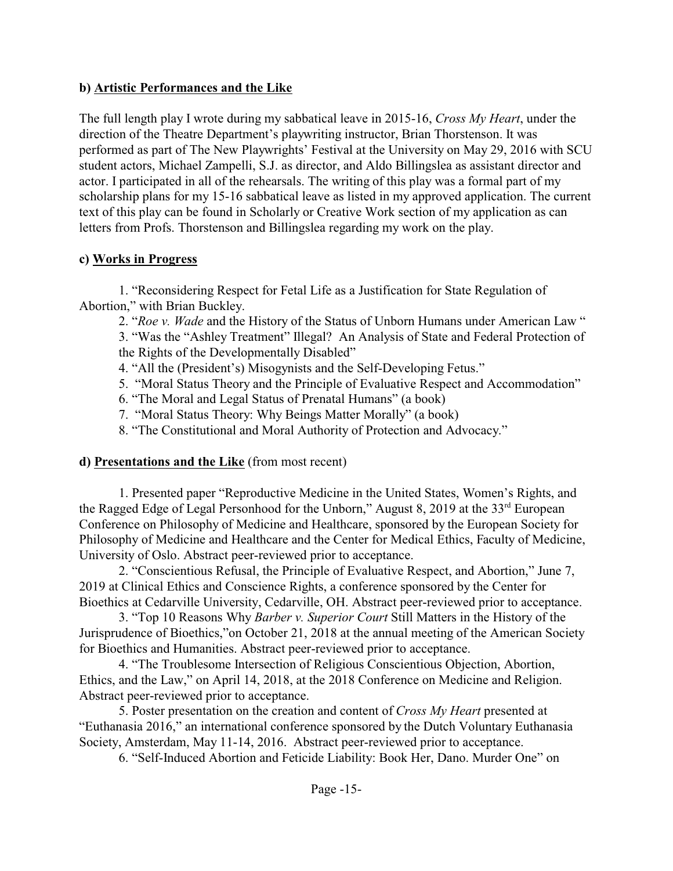### **b) Artistic Performances and the Like**

The full length play I wrote during my sabbatical leave in 2015-16, *Cross My Heart*, under the direction of the Theatre Department's playwriting instructor, Brian Thorstenson. It was performed as part of The New Playwrights' Festival at the University on May 29, 2016 with SCU student actors, Michael Zampelli, S.J. as director, and Aldo Billingslea as assistant director and actor. I participated in all of the rehearsals. The writing of this play was a formal part of my scholarship plans for my 15-16 sabbatical leave as listed in my approved application. The current text of this play can be found in Scholarly or Creative Work section of my application as can letters from Profs. Thorstenson and Billingslea regarding my work on the play.

### **c) Works in Progress**

1. "Reconsidering Respect for Fetal Life as a Justification for State Regulation of Abortion," with Brian Buckley.

2. "*Roe v. Wade* and the History of the Status of Unborn Humans under American Law "

3. "Was the "Ashley Treatment" Illegal? An Analysis of State and Federal Protection of the Rights of the Developmentally Disabled"

- 4. "All the (President's) Misogynists and the Self-Developing Fetus."
- 5. "Moral Status Theory and the Principle of Evaluative Respect and Accommodation"
- 6. "The Moral and Legal Status of Prenatal Humans" (a book)
- 7. "Moral Status Theory: Why Beings Matter Morally" (a book)
- 8. "The Constitutional and Moral Authority of Protection and Advocacy."

### **d) Presentations and the Like** (from most recent)

1. Presented paper "Reproductive Medicine in the United States, Women's Rights, and the Ragged Edge of Legal Personhood for the Unborn," August 8, 2019 at the 33<sup>rd</sup> European Conference on Philosophy of Medicine and Healthcare, sponsored by the European Society for Philosophy of Medicine and Healthcare and the Center for Medical Ethics, Faculty of Medicine, University of Oslo. Abstract peer-reviewed prior to acceptance.

2. "Conscientious Refusal, the Principle of Evaluative Respect, and Abortion," June 7, 2019 at Clinical Ethics and Conscience Rights, a conference sponsored by the Center for Bioethics at Cedarville University, Cedarville, OH. Abstract peer-reviewed prior to acceptance.

3. "Top 10 Reasons Why *Barber v. Superior Court* Still Matters in the History of the Jurisprudence of Bioethics,"on October 21, 2018 at the annual meeting of the American Society for Bioethics and Humanities. Abstract peer-reviewed prior to acceptance.

4. "The Troublesome Intersection of Religious Conscientious Objection, Abortion, Ethics, and the Law," on April 14, 2018, at the 2018 Conference on Medicine and Religion. Abstract peer-reviewed prior to acceptance.

5. Poster presentation on the creation and content of *Cross My Heart* presented at "Euthanasia 2016," an international conference sponsored by the Dutch Voluntary Euthanasia Society, Amsterdam, May 11-14, 2016. Abstract peer-reviewed prior to acceptance.

6. "Self-Induced Abortion and Feticide Liability: Book Her, Dano. Murder One" on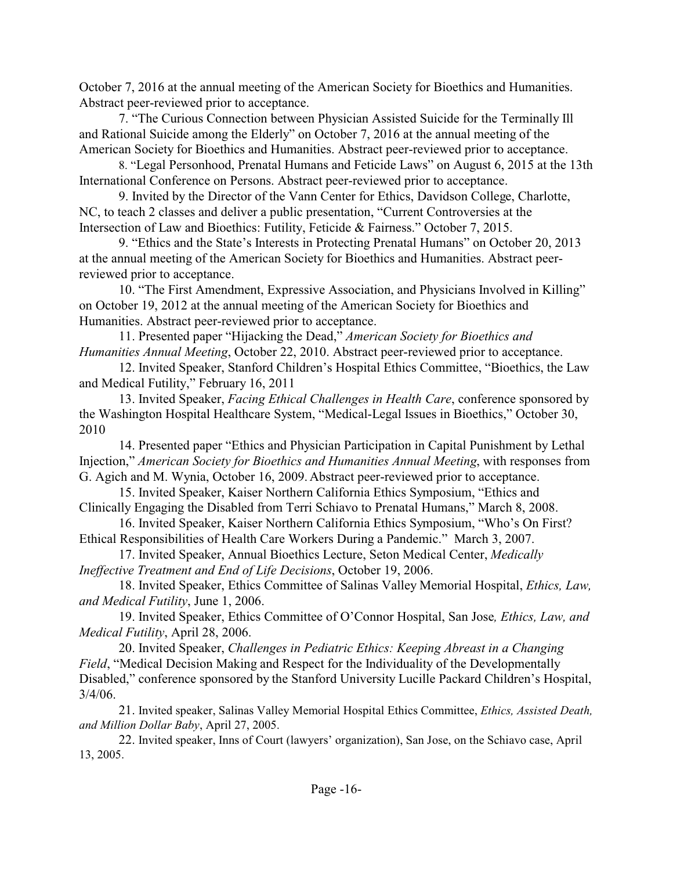October 7, 2016 at the annual meeting of the American Society for Bioethics and Humanities. Abstract peer-reviewed prior to acceptance.

7. "The Curious Connection between Physician Assisted Suicide for the Terminally Ill and Rational Suicide among the Elderly" on October 7, 2016 at the annual meeting of the American Society for Bioethics and Humanities. Abstract peer-reviewed prior to acceptance.

8. "Legal Personhood, Prenatal Humans and Feticide Laws" on August 6, 2015 at the 13th International Conference on Persons. Abstract peer-reviewed prior to acceptance.

9. Invited by the Director of the Vann Center for Ethics, Davidson College, Charlotte, NC, to teach 2 classes and deliver a public presentation, "Current Controversies at the Intersection of Law and Bioethics: Futility, Feticide & Fairness." October 7, 2015.

9. "Ethics and the State's Interests in Protecting Prenatal Humans" on October 20, 2013 at the annual meeting of the American Society for Bioethics and Humanities. Abstract peerreviewed prior to acceptance.

10. "The First Amendment, Expressive Association, and Physicians Involved in Killing" on October 19, 2012 at the annual meeting of the American Society for Bioethics and Humanities. Abstract peer-reviewed prior to acceptance.

11. Presented paper "Hijacking the Dead," *American Society for Bioethics and Humanities Annual Meeting*, October 22, 2010. Abstract peer-reviewed prior to acceptance.

12. Invited Speaker, Stanford Children's Hospital Ethics Committee, "Bioethics, the Law and Medical Futility," February 16, 2011

13. Invited Speaker, *Facing Ethical Challenges in Health Care*, conference sponsored by the Washington Hospital Healthcare System, "Medical-Legal Issues in Bioethics," October 30, 2010

14. Presented paper "Ethics and Physician Participation in Capital Punishment by Lethal Injection," *American Society for Bioethics and Humanities Annual Meeting*, with responses from G. Agich and M. Wynia, October 16, 2009.Abstract peer-reviewed prior to acceptance.

15. Invited Speaker, Kaiser Northern California Ethics Symposium, "Ethics and Clinically Engaging the Disabled from Terri Schiavo to Prenatal Humans," March 8, 2008.

16. Invited Speaker, Kaiser Northern California Ethics Symposium, "Who's On First? Ethical Responsibilities of Health Care Workers During a Pandemic." March 3, 2007.

17. Invited Speaker, Annual Bioethics Lecture, Seton Medical Center, *Medically Ineffective Treatment and End of Life Decisions*, October 19, 2006.

18. Invited Speaker, Ethics Committee of Salinas Valley Memorial Hospital, *Ethics, Law, and Medical Futility*, June 1, 2006.

19. Invited Speaker, Ethics Committee of O'Connor Hospital, San Jose*, Ethics, Law, and Medical Futility*, April 28, 2006.

20. Invited Speaker, *Challenges in Pediatric Ethics: Keeping Abreast in a Changing Field*, "Medical Decision Making and Respect for the Individuality of the Developmentally Disabled," conference sponsored by the Stanford University Lucille Packard Children's Hospital,  $3/4/06$ .

21. Invited speaker, Salinas Valley Memorial Hospital Ethics Committee, *Ethics, Assisted Death, and Million Dollar Baby*, April 27, 2005.

22. Invited speaker, Inns of Court (lawyers' organization), San Jose, on the Schiavo case, April 13, 2005.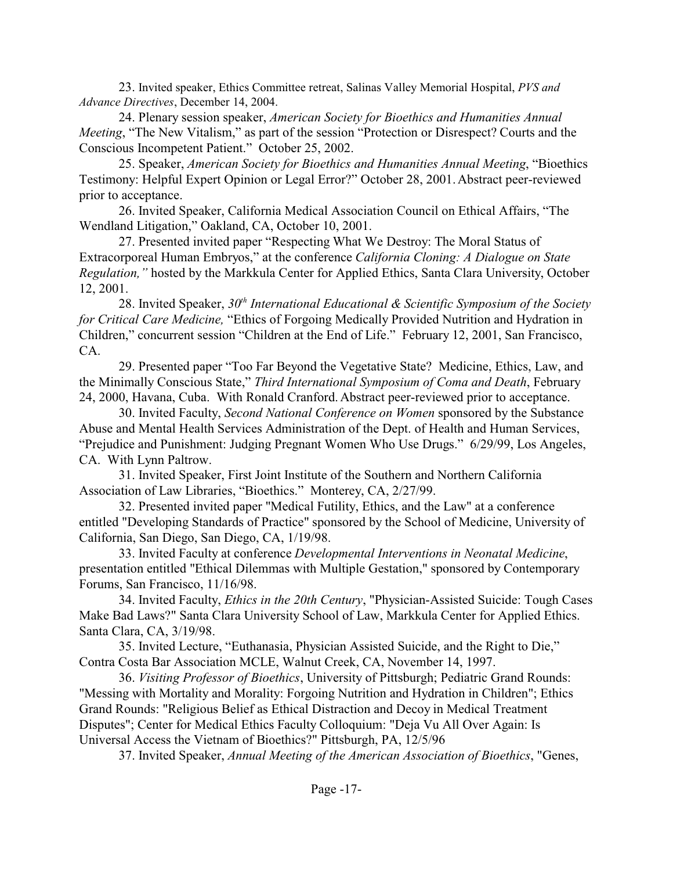23. Invited speaker, Ethics Committee retreat, Salinas Valley Memorial Hospital, *PVS and Advance Directives*, December 14, 2004.

 24. Plenary session speaker, *American Society for Bioethics and Humanities Annual Meeting*, "The New Vitalism," as part of the session "Protection or Disrespect? Courts and the Conscious Incompetent Patient." October 25, 2002.

25. Speaker, *American Society for Bioethics and Humanities Annual Meeting*, "Bioethics Testimony: Helpful Expert Opinion or Legal Error?" October 28, 2001.Abstract peer-reviewed prior to acceptance.

26. Invited Speaker, California Medical Association Council on Ethical Affairs, "The Wendland Litigation," Oakland, CA, October 10, 2001.

27. Presented invited paper "Respecting What We Destroy: The Moral Status of Extracorporeal Human Embryos," at the conference *California Cloning: A Dialogue on State Regulation,"* hosted by the Markkula Center for Applied Ethics, Santa Clara University, October 12, 2001.

28. Invited Speaker, *30th International Educational & Scientific Symposium of the Society for Critical Care Medicine,* "Ethics of Forgoing Medically Provided Nutrition and Hydration in Children," concurrent session "Children at the End of Life." February 12, 2001, San Francisco, CA.

29. Presented paper "Too Far Beyond the Vegetative State? Medicine, Ethics, Law, and the Minimally Conscious State," *Third International Symposium of Coma and Death*, February 24, 2000, Havana, Cuba. With Ronald Cranford. Abstract peer-reviewed prior to acceptance.

30. Invited Faculty, *Second National Conference on Women* sponsored by the Substance Abuse and Mental Health Services Administration of the Dept. of Health and Human Services, "Prejudice and Punishment: Judging Pregnant Women Who Use Drugs." 6/29/99, Los Angeles, CA. With Lynn Paltrow.

31. Invited Speaker, First Joint Institute of the Southern and Northern California Association of Law Libraries, "Bioethics." Monterey, CA, 2/27/99.

32. Presented invited paper "Medical Futility, Ethics, and the Law" at a conference entitled "Developing Standards of Practice" sponsored by the School of Medicine, University of California, San Diego, San Diego, CA, 1/19/98.

33. Invited Faculty at conference *Developmental Interventions in Neonatal Medicine*, presentation entitled "Ethical Dilemmas with Multiple Gestation," sponsored by Contemporary Forums, San Francisco, 11/16/98.

34. Invited Faculty, *Ethics in the 20th Century*, "Physician-Assisted Suicide: Tough Cases Make Bad Laws?" Santa Clara University School of Law, Markkula Center for Applied Ethics. Santa Clara, CA, 3/19/98.

35. Invited Lecture, "Euthanasia, Physician Assisted Suicide, and the Right to Die," Contra Costa Bar Association MCLE, Walnut Creek, CA, November 14, 1997.

36. *Visiting Professor of Bioethics*, University of Pittsburgh; Pediatric Grand Rounds: "Messing with Mortality and Morality: Forgoing Nutrition and Hydration in Children"; Ethics Grand Rounds: "Religious Belief as Ethical Distraction and Decoy in Medical Treatment Disputes"; Center for Medical Ethics Faculty Colloquium: "Deja Vu All Over Again: Is Universal Access the Vietnam of Bioethics?" Pittsburgh, PA, 12/5/96

37. Invited Speaker, *Annual Meeting of the American Association of Bioethics*, "Genes,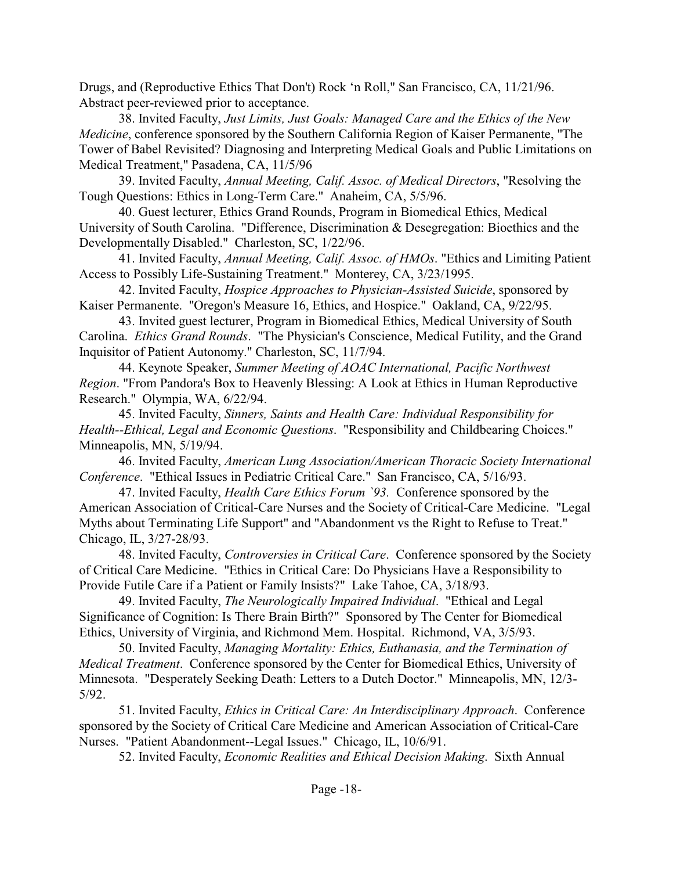Drugs, and (Reproductive Ethics That Don't) Rock 'n Roll," San Francisco, CA, 11/21/96. Abstract peer-reviewed prior to acceptance.

38. Invited Faculty, *Just Limits, Just Goals: Managed Care and the Ethics of the New Medicine*, conference sponsored by the Southern California Region of Kaiser Permanente, "The Tower of Babel Revisited? Diagnosing and Interpreting Medical Goals and Public Limitations on Medical Treatment," Pasadena, CA, 11/5/96

39. Invited Faculty, *Annual Meeting, Calif. Assoc. of Medical Directors*, "Resolving the Tough Questions: Ethics in Long-Term Care." Anaheim, CA, 5/5/96.

40. Guest lecturer, Ethics Grand Rounds, Program in Biomedical Ethics, Medical University of South Carolina. "Difference, Discrimination & Desegregation: Bioethics and the Developmentally Disabled." Charleston, SC, 1/22/96.

41. Invited Faculty, *Annual Meeting, Calif. Assoc. of HMOs*. "Ethics and Limiting Patient Access to Possibly Life-Sustaining Treatment." Monterey, CA, 3/23/1995.

42. Invited Faculty, *Hospice Approaches to Physician-Assisted Suicide*, sponsored by Kaiser Permanente. "Oregon's Measure 16, Ethics, and Hospice." Oakland, CA, 9/22/95.

43. Invited guest lecturer, Program in Biomedical Ethics, Medical University of South Carolina. *Ethics Grand Rounds*. "The Physician's Conscience, Medical Futility, and the Grand Inquisitor of Patient Autonomy." Charleston, SC, 11/7/94.

44. Keynote Speaker, *Summer Meeting of AOAC International, Pacific Northwest Region*. "From Pandora's Box to Heavenly Blessing: A Look at Ethics in Human Reproductive Research." Olympia, WA, 6/22/94.

45. Invited Faculty, *Sinners, Saints and Health Care: Individual Responsibility for Health--Ethical, Legal and Economic Questions*. "Responsibility and Childbearing Choices." Minneapolis, MN, 5/19/94.

46. Invited Faculty, *American Lung Association/American Thoracic Society International Conference*. "Ethical Issues in Pediatric Critical Care." San Francisco, CA, 5/16/93.

47. Invited Faculty, *Health Care Ethics Forum `93.* Conference sponsored by the American Association of Critical-Care Nurses and the Society of Critical-Care Medicine. "Legal Myths about Terminating Life Support" and "Abandonment vs the Right to Refuse to Treat." Chicago, IL, 3/27-28/93.

48. Invited Faculty, *Controversies in Critical Care*. Conference sponsored by the Society of Critical Care Medicine. "Ethics in Critical Care: Do Physicians Have a Responsibility to Provide Futile Care if a Patient or Family Insists?" Lake Tahoe, CA, 3/18/93.

49. Invited Faculty, *The Neurologically Impaired Individual*. "Ethical and Legal Significance of Cognition: Is There Brain Birth?" Sponsored by The Center for Biomedical Ethics, University of Virginia, and Richmond Mem. Hospital. Richmond, VA, 3/5/93.

50. Invited Faculty, *Managing Mortality: Ethics, Euthanasia, and the Termination of Medical Treatment*. Conference sponsored by the Center for Biomedical Ethics, University of Minnesota. "Desperately Seeking Death: Letters to a Dutch Doctor." Minneapolis, MN, 12/3- 5/92.

51. Invited Faculty, *Ethics in Critical Care: An Interdisciplinary Approach*. Conference sponsored by the Society of Critical Care Medicine and American Association of Critical-Care Nurses. "Patient Abandonment--Legal Issues." Chicago, IL, 10/6/91.

52. Invited Faculty, *Economic Realities and Ethical Decision Making*. Sixth Annual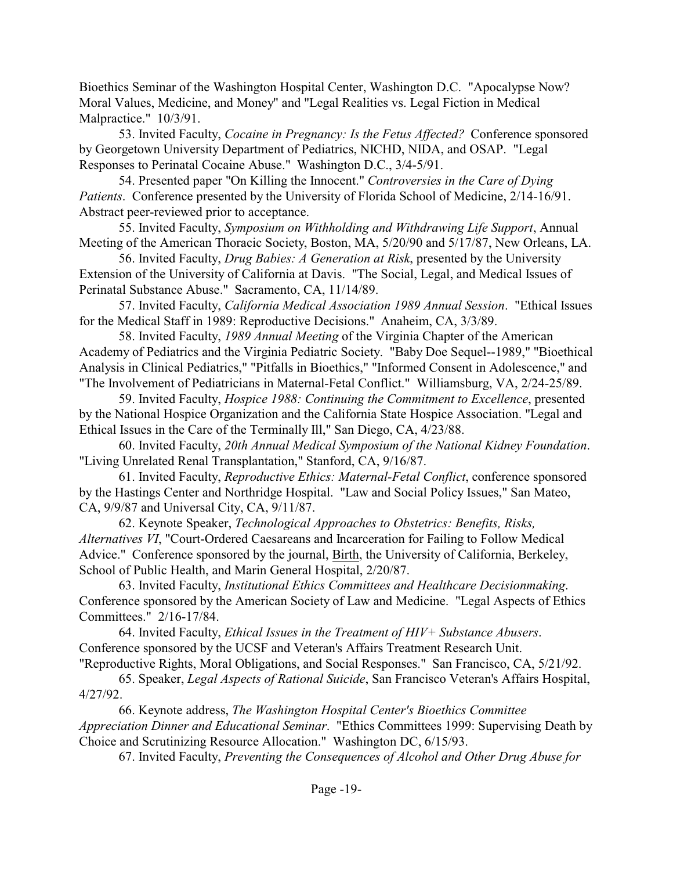Bioethics Seminar of the Washington Hospital Center, Washington D.C. "Apocalypse Now? Moral Values, Medicine, and Money" and "Legal Realities vs. Legal Fiction in Medical Malpractice." 10/3/91.

53. Invited Faculty, *Cocaine in Pregnancy: Is the Fetus Affected?* Conference sponsored by Georgetown University Department of Pediatrics, NICHD, NIDA, and OSAP. "Legal Responses to Perinatal Cocaine Abuse." Washington D.C., 3/4-5/91.

54. Presented paper "On Killing the Innocent." *Controversies in the Care of Dying Patients*. Conference presented by the University of Florida School of Medicine, 2/14-16/91. Abstract peer-reviewed prior to acceptance.

55. Invited Faculty, *Symposium on Withholding and Withdrawing Life Support*, Annual Meeting of the American Thoracic Society, Boston, MA, 5/20/90 and 5/17/87, New Orleans, LA.

56. Invited Faculty, *Drug Babies: A Generation at Risk*, presented by the University Extension of the University of California at Davis. "The Social, Legal, and Medical Issues of Perinatal Substance Abuse." Sacramento, CA, 11/14/89.

57. Invited Faculty, *California Medical Association 1989 Annual Session*. "Ethical Issues for the Medical Staff in 1989: Reproductive Decisions." Anaheim, CA, 3/3/89.

58. Invited Faculty, *1989 Annual Meeting* of the Virginia Chapter of the American Academy of Pediatrics and the Virginia Pediatric Society. "Baby Doe Sequel--1989," "Bioethical Analysis in Clinical Pediatrics," "Pitfalls in Bioethics," "Informed Consent in Adolescence," and "The Involvement of Pediatricians in Maternal-Fetal Conflict." Williamsburg, VA, 2/24-25/89.

59. Invited Faculty, *Hospice 1988: Continuing the Commitment to Excellence*, presented by the National Hospice Organization and the California State Hospice Association. "Legal and Ethical Issues in the Care of the Terminally Ill," San Diego, CA, 4/23/88.

60. Invited Faculty, *20th Annual Medical Symposium of the National Kidney Foundation*. "Living Unrelated Renal Transplantation," Stanford, CA, 9/16/87.

61. Invited Faculty, *Reproductive Ethics: Maternal-Fetal Conflict*, conference sponsored by the Hastings Center and Northridge Hospital. "Law and Social Policy Issues," San Mateo, CA, 9/9/87 and Universal City, CA, 9/11/87.

62. Keynote Speaker, *Technological Approaches to Obstetrics: Benefits, Risks, Alternatives VI*, "Court-Ordered Caesareans and Incarceration for Failing to Follow Medical Advice." Conference sponsored by the journal, Birth, the University of California, Berkeley, School of Public Health, and Marin General Hospital, 2/20/87.

63. Invited Faculty, *Institutional Ethics Committees and Healthcare Decisionmaking*. Conference sponsored by the American Society of Law and Medicine. "Legal Aspects of Ethics Committees." 2/16-17/84.

64. Invited Faculty, *Ethical Issues in the Treatment of HIV+ Substance Abusers*. Conference sponsored by the UCSF and Veteran's Affairs Treatment Research Unit. "Reproductive Rights, Moral Obligations, and Social Responses." San Francisco, CA, 5/21/92.

65. Speaker, *Legal Aspects of Rational Suicide*, San Francisco Veteran's Affairs Hospital, 4/27/92.

66. Keynote address, *The Washington Hospital Center's Bioethics Committee Appreciation Dinner and Educational Seminar*. "Ethics Committees 1999: Supervising Death by Choice and Scrutinizing Resource Allocation." Washington DC, 6/15/93.

67. Invited Faculty, *Preventing the Consequences of Alcohol and Other Drug Abuse for*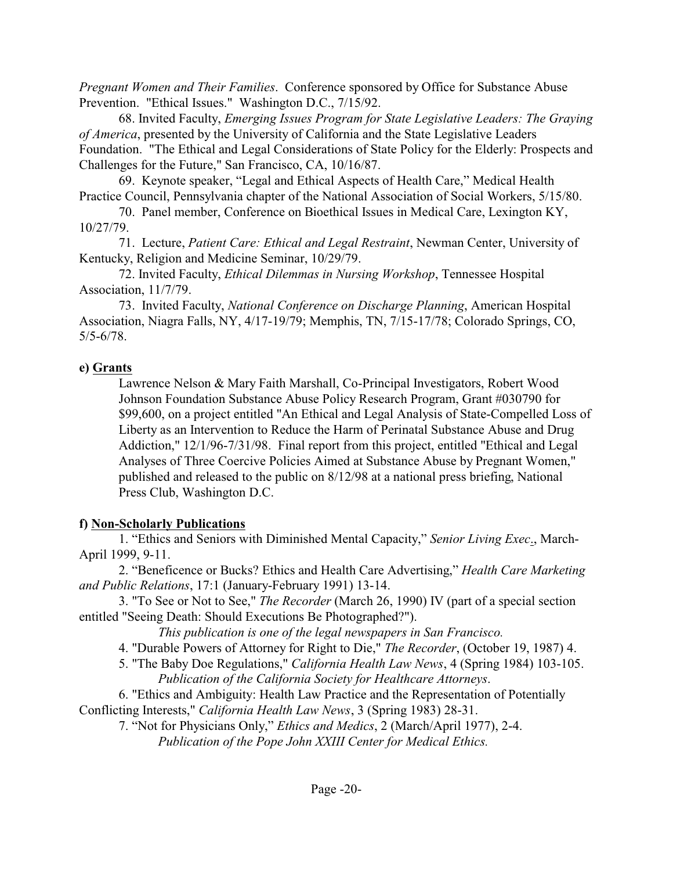*Pregnant Women and Their Families*. Conference sponsored by Office for Substance Abuse Prevention. "Ethical Issues." Washington D.C., 7/15/92.

68. Invited Faculty, *Emerging Issues Program for State Legislative Leaders: The Graying of America*, presented by the University of California and the State Legislative Leaders Foundation. "The Ethical and Legal Considerations of State Policy for the Elderly: Prospects and Challenges for the Future," San Francisco, CA, 10/16/87.

69. Keynote speaker, "Legal and Ethical Aspects of Health Care," Medical Health Practice Council, Pennsylvania chapter of the National Association of Social Workers, 5/15/80.

70. Panel member, Conference on Bioethical Issues in Medical Care, Lexington KY, 10/27/79.

71. Lecture, *Patient Care: Ethical and Legal Restraint*, Newman Center, University of Kentucky, Religion and Medicine Seminar, 10/29/79.

72. Invited Faculty, *Ethical Dilemmas in Nursing Workshop*, Tennessee Hospital Association, 11/7/79.

73. Invited Faculty, *National Conference on Discharge Planning*, American Hospital Association, Niagra Falls, NY, 4/17-19/79; Memphis, TN, 7/15-17/78; Colorado Springs, CO, 5/5-6/78.

### **e) Grants**

Lawrence Nelson & Mary Faith Marshall, Co-Principal Investigators, Robert Wood Johnson Foundation Substance Abuse Policy Research Program, Grant #030790 for \$99,600, on a project entitled "An Ethical and Legal Analysis of State-Compelled Loss of Liberty as an Intervention to Reduce the Harm of Perinatal Substance Abuse and Drug Addiction," 12/1/96-7/31/98. Final report from this project, entitled "Ethical and Legal Analyses of Three Coercive Policies Aimed at Substance Abuse by Pregnant Women," published and released to the public on 8/12/98 at a national press briefing, National Press Club, Washington D.C.

## **f) Non-Scholarly Publications**

1. "Ethics and Seniors with Diminished Mental Capacity," *Senior Living Exec*., March-April 1999, 9-11.

2. "Beneficence or Bucks? Ethics and Health Care Advertising," *Health Care Marketing and Public Relations*, 17:1 (January-February 1991) 13-14.

3. "To See or Not to See," *The Recorder* (March 26, 1990) IV (part of a special section entitled "Seeing Death: Should Executions Be Photographed?").

*This publication is one of the legal newspapers in San Francisco.*

4. "Durable Powers of Attorney for Right to Die," *The Recorder*, (October 19, 1987) 4.

5. "The Baby Doe Regulations," *California Health Law News*, 4 (Spring 1984) 103-105. *Publication of the California Society for Healthcare Attorneys*.

6. "Ethics and Ambiguity: Health Law Practice and the Representation of Potentially Conflicting Interests," *California Health Law News*, 3 (Spring 1983) 28-31.

7. "Not for Physicians Only," *Ethics and Medics*, 2 (March/April 1977), 2-4. *Publication of the Pope John XXIII Center for Medical Ethics.*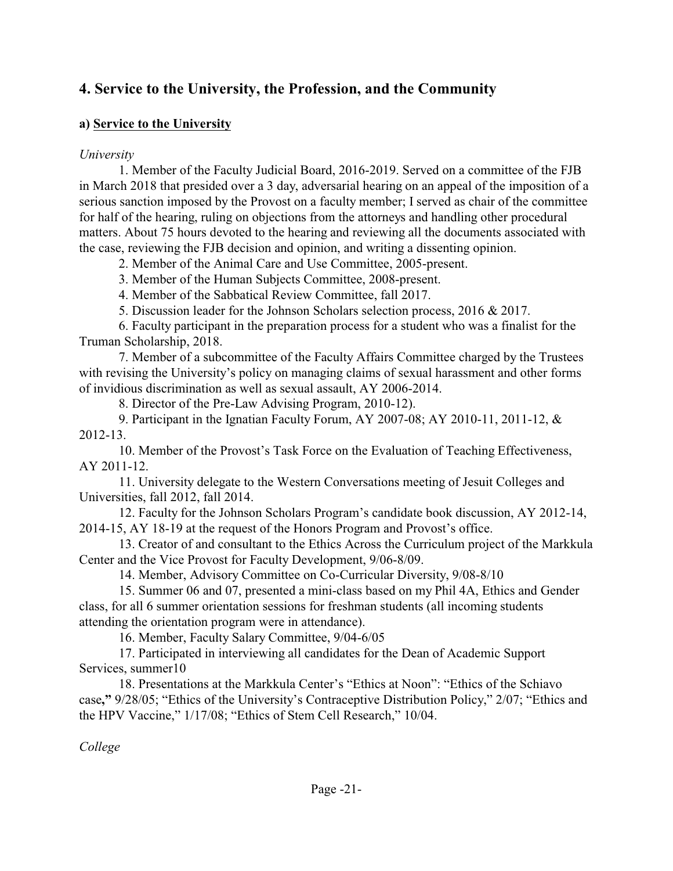# **4. Service to the University, the Profession, and the Community**

### **a) Service to the University**

### *University*

1. Member of the Faculty Judicial Board, 2016-2019. Served on a committee of the FJB in March 2018 that presided over a 3 day, adversarial hearing on an appeal of the imposition of a serious sanction imposed by the Provost on a faculty member; I served as chair of the committee for half of the hearing, ruling on objections from the attorneys and handling other procedural matters. About 75 hours devoted to the hearing and reviewing all the documents associated with the case, reviewing the FJB decision and opinion, and writing a dissenting opinion.

2. Member of the Animal Care and Use Committee, 2005-present.

3. Member of the Human Subjects Committee, 2008-present.

4. Member of the Sabbatical Review Committee, fall 2017.

5. Discussion leader for the Johnson Scholars selection process, 2016 & 2017.

6. Faculty participant in the preparation process for a student who was a finalist for the Truman Scholarship, 2018.

7. Member of a subcommittee of the Faculty Affairs Committee charged by the Trustees with revising the University's policy on managing claims of sexual harassment and other forms of invidious discrimination as well as sexual assault, AY 2006-2014.

8. Director of the Pre-Law Advising Program, 2010-12).

9. Participant in the Ignatian Faculty Forum, AY 2007-08; AY 2010-11, 2011-12, & 2012-13.

10. Member of the Provost's Task Force on the Evaluation of Teaching Effectiveness, AY 2011-12.

11. University delegate to the Western Conversations meeting of Jesuit Colleges and Universities, fall 2012, fall 2014.

12. Faculty for the Johnson Scholars Program's candidate book discussion, AY 2012-14, 2014-15, AY 18-19 at the request of the Honors Program and Provost's office.

13. Creator of and consultant to the Ethics Across the Curriculum project of the Markkula Center and the Vice Provost for Faculty Development, 9/06-8/09.

14. Member, Advisory Committee on Co-Curricular Diversity, 9/08-8/10

15. Summer 06 and 07, presented a mini-class based on my Phil 4A, Ethics and Gender class, for all 6 summer orientation sessions for freshman students (all incoming students attending the orientation program were in attendance).

16. Member, Faculty Salary Committee, 9/04-6/05

17. Participated in interviewing all candidates for the Dean of Academic Support Services, summer10

18. Presentations at the Markkula Center's "Ethics at Noon": "Ethics of the Schiavo case**,"** 9/28/05; "Ethics of the University's Contraceptive Distribution Policy," 2/07; "Ethics and the HPV Vaccine," 1/17/08; "Ethics of Stem Cell Research," 10/04.

*College*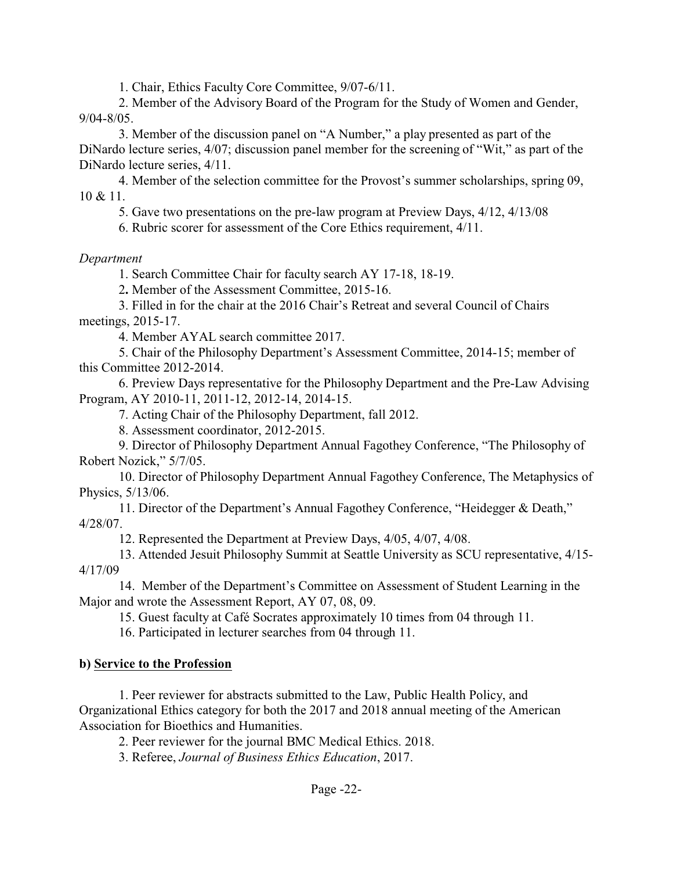1. Chair, Ethics Faculty Core Committee, 9/07-6/11.

2. Member of the Advisory Board of the Program for the Study of Women and Gender, 9/04-8/05.

3. Member of the discussion panel on "A Number," a play presented as part of the DiNardo lecture series, 4/07; discussion panel member for the screening of "Wit," as part of the DiNardo lecture series, 4/11.

4. Member of the selection committee for the Provost's summer scholarships, spring 09,  $10 \& 11$ .

5. Gave two presentations on the pre-law program at Preview Days, 4/12, 4/13/08

6. Rubric scorer for assessment of the Core Ethics requirement, 4/11.

#### *Department*

1. Search Committee Chair for faculty search AY 17-18, 18-19.

2**.** Member of the Assessment Committee, 2015-16.

3. Filled in for the chair at the 2016 Chair's Retreat and several Council of Chairs meetings, 2015-17.

4. Member AYAL search committee 2017.

5. Chair of the Philosophy Department's Assessment Committee, 2014-15; member of this Committee 2012-2014.

6. Preview Days representative for the Philosophy Department and the Pre-Law Advising Program, AY 2010-11, 2011-12, 2012-14, 2014-15.

7. Acting Chair of the Philosophy Department, fall 2012.

8. Assessment coordinator, 2012-2015.

9. Director of Philosophy Department Annual Fagothey Conference, "The Philosophy of Robert Nozick," 5/7/05.

10. Director of Philosophy Department Annual Fagothey Conference, The Metaphysics of Physics, 5/13/06.

11. Director of the Department's Annual Fagothey Conference, "Heidegger & Death," 4/28/07.

12. Represented the Department at Preview Days, 4/05, 4/07, 4/08.

13. Attended Jesuit Philosophy Summit at Seattle University as SCU representative, 4/15- 4/17/09

14. Member of the Department's Committee on Assessment of Student Learning in the Major and wrote the Assessment Report, AY 07, 08, 09.

15. Guest faculty at Café Socrates approximately 10 times from 04 through 11.

16. Participated in lecturer searches from 04 through 11.

#### **b) Service to the Profession**

1. Peer reviewer for abstracts submitted to the Law, Public Health Policy, and Organizational Ethics category for both the 2017 and 2018 annual meeting of the American Association for Bioethics and Humanities.

2. Peer reviewer for the journal BMC Medical Ethics. 2018.

3. Referee, *Journal of Business Ethics Education*, 2017.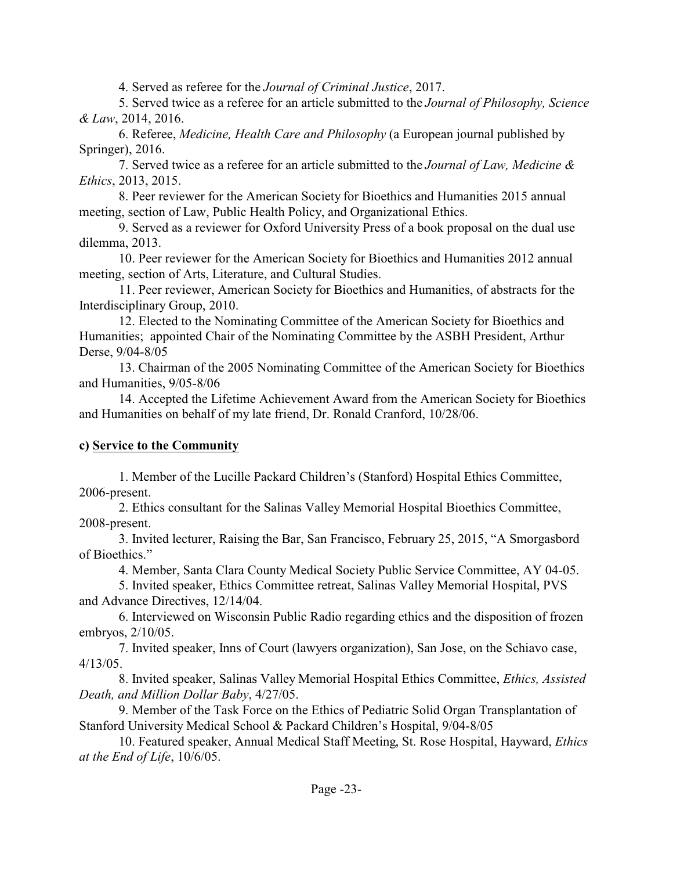4. Served as referee for the *Journal of Criminal Justice*, 2017.

5. Served twice as a referee for an article submitted to the *Journal of Philosophy, Science & Law*, 2014, 2016.

6. Referee, *Medicine, Health Care and Philosophy* (a European journal published by Springer), 2016.

7. Served twice as a referee for an article submitted to the *Journal of Law, Medicine & Ethics*, 2013, 2015.

8. Peer reviewer for the American Society for Bioethics and Humanities 2015 annual meeting, section of Law, Public Health Policy, and Organizational Ethics.

9. Served as a reviewer for Oxford University Press of a book proposal on the dual use dilemma, 2013.

10. Peer reviewer for the American Society for Bioethics and Humanities 2012 annual meeting, section of Arts, Literature, and Cultural Studies.

11. Peer reviewer, American Society for Bioethics and Humanities, of abstracts for the Interdisciplinary Group, 2010.

12. Elected to the Nominating Committee of the American Society for Bioethics and Humanities; appointed Chair of the Nominating Committee by the ASBH President, Arthur Derse, 9/04-8/05

13. Chairman of the 2005 Nominating Committee of the American Society for Bioethics and Humanities, 9/05-8/06

14. Accepted the Lifetime Achievement Award from the American Society for Bioethics and Humanities on behalf of my late friend, Dr. Ronald Cranford, 10/28/06.

### **c) Service to the Community**

1. Member of the Lucille Packard Children's (Stanford) Hospital Ethics Committee, 2006-present.

2. Ethics consultant for the Salinas Valley Memorial Hospital Bioethics Committee, 2008-present.

3. Invited lecturer, Raising the Bar, San Francisco, February 25, 2015, "A Smorgasbord of Bioethics."

4. Member, Santa Clara County Medical Society Public Service Committee, AY 04-05.

5. Invited speaker, Ethics Committee retreat, Salinas Valley Memorial Hospital, PVS and Advance Directives, 12/14/04.

6. Interviewed on Wisconsin Public Radio regarding ethics and the disposition of frozen embryos, 2/10/05.

7. Invited speaker, Inns of Court (lawyers organization), San Jose, on the Schiavo case, 4/13/05.

8. Invited speaker, Salinas Valley Memorial Hospital Ethics Committee, *Ethics, Assisted Death, and Million Dollar Baby*, 4/27/05.

9. Member of the Task Force on the Ethics of Pediatric Solid Organ Transplantation of Stanford University Medical School & Packard Children's Hospital, 9/04-8/05

10. Featured speaker, Annual Medical Staff Meeting, St. Rose Hospital, Hayward, *Ethics at the End of Life*, 10/6/05.